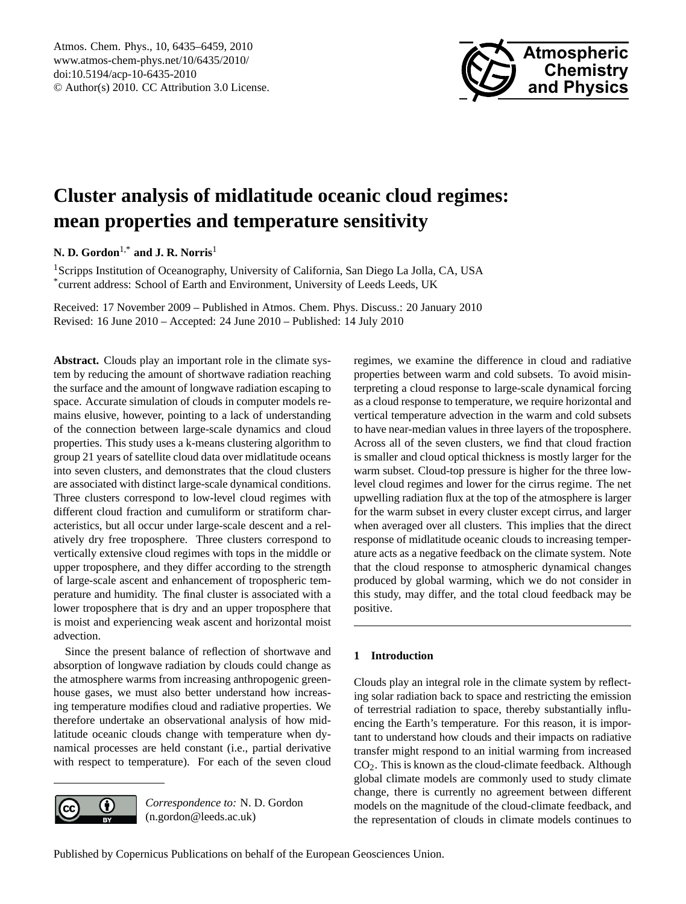

# <span id="page-0-0"></span>**Cluster analysis of midlatitude oceanic cloud regimes: mean properties and temperature sensitivity**

# **N. D. Gordon**1,\* **and J. R. Norris**<sup>1</sup>

<sup>1</sup>Scripps Institution of Oceanography, University of California, San Diego La Jolla, CA, USA \* current address: School of Earth and Environment, University of Leeds Leeds, UK

Received: 17 November 2009 – Published in Atmos. Chem. Phys. Discuss.: 20 January 2010 Revised: 16 June 2010 – Accepted: 24 June 2010 – Published: 14 July 2010

**Abstract.** Clouds play an important role in the climate system by reducing the amount of shortwave radiation reaching the surface and the amount of longwave radiation escaping to space. Accurate simulation of clouds in computer models remains elusive, however, pointing to a lack of understanding of the connection between large-scale dynamics and cloud properties. This study uses a k-means clustering algorithm to group 21 years of satellite cloud data over midlatitude oceans into seven clusters, and demonstrates that the cloud clusters are associated with distinct large-scale dynamical conditions. Three clusters correspond to low-level cloud regimes with different cloud fraction and cumuliform or stratiform characteristics, but all occur under large-scale descent and a relatively dry free troposphere. Three clusters correspond to vertically extensive cloud regimes with tops in the middle or upper troposphere, and they differ according to the strength of large-scale ascent and enhancement of tropospheric temperature and humidity. The final cluster is associated with a lower troposphere that is dry and an upper troposphere that is moist and experiencing weak ascent and horizontal moist advection.

Since the present balance of reflection of shortwave and absorption of longwave radiation by clouds could change as the atmosphere warms from increasing anthropogenic greenhouse gases, we must also better understand how increasing temperature modifies cloud and radiative properties. We therefore undertake an observational analysis of how midlatitude oceanic clouds change with temperature when dynamical processes are held constant (i.e., partial derivative with respect to temperature). For each of the seven cloud



*Correspondence to:* N. D. Gordon (n.gordon@leeds.ac.uk)

regimes, we examine the difference in cloud and radiative properties between warm and cold subsets. To avoid misinterpreting a cloud response to large-scale dynamical forcing as a cloud response to temperature, we require horizontal and vertical temperature advection in the warm and cold subsets to have near-median values in three layers of the troposphere. Across all of the seven clusters, we find that cloud fraction is smaller and cloud optical thickness is mostly larger for the warm subset. Cloud-top pressure is higher for the three lowlevel cloud regimes and lower for the cirrus regime. The net upwelling radiation flux at the top of the atmosphere is larger for the warm subset in every cluster except cirrus, and larger when averaged over all clusters. This implies that the direct response of midlatitude oceanic clouds to increasing temperature acts as a negative feedback on the climate system. Note that the cloud response to atmospheric dynamical changes produced by global warming, which we do not consider in this study, may differ, and the total cloud feedback may be positive.

# **1 Introduction**

Clouds play an integral role in the climate system by reflecting solar radiation back to space and restricting the emission of terrestrial radiation to space, thereby substantially influencing the Earth's temperature. For this reason, it is important to understand how clouds and their impacts on radiative transfer might respond to an initial warming from increased  $CO<sub>2</sub>$ . This is known as the cloud-climate feedback. Although global climate models are commonly used to study climate change, there is currently no agreement between different models on the magnitude of the cloud-climate feedback, and the representation of clouds in climate models continues to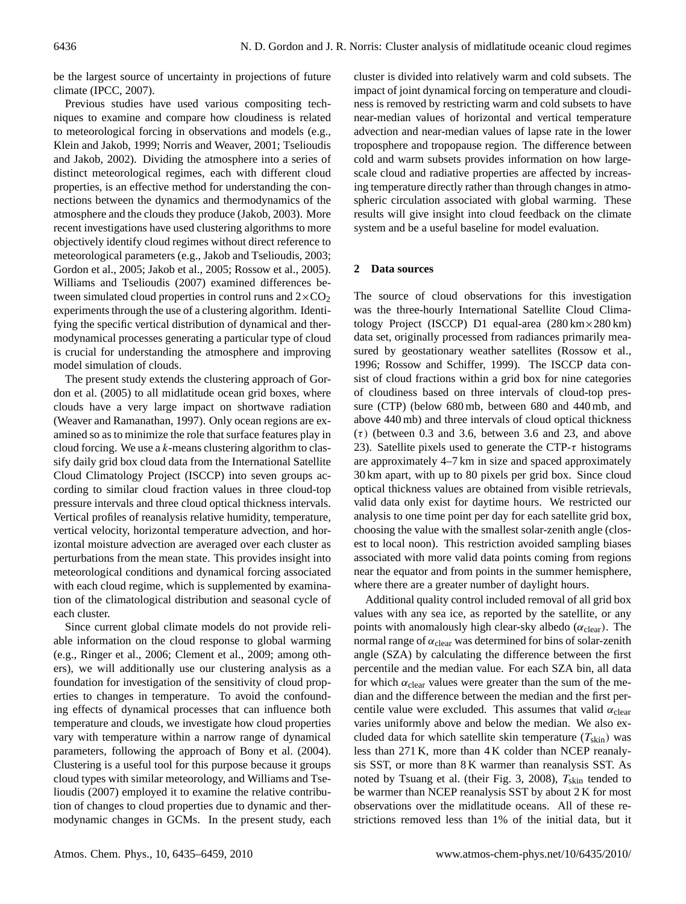be the largest source of uncertainty in projections of future climate (IPCC, 2007).

Previous studies have used various compositing techniques to examine and compare how cloudiness is related to meteorological forcing in observations and models (e.g., Klein and Jakob, 1999; Norris and Weaver, 2001; Tselioudis and Jakob, 2002). Dividing the atmosphere into a series of distinct meteorological regimes, each with different cloud properties, is an effective method for understanding the connections between the dynamics and thermodynamics of the atmosphere and the clouds they produce (Jakob, 2003). More recent investigations have used clustering algorithms to more objectively identify cloud regimes without direct reference to meteorological parameters (e.g., Jakob and Tselioudis, 2003; Gordon et al., 2005; Jakob et al., 2005; Rossow et al., 2005). Williams and Tselioudis (2007) examined differences between simulated cloud properties in control runs and  $2\times CO<sub>2</sub>$ experiments through the use of a clustering algorithm. Identifying the specific vertical distribution of dynamical and thermodynamical processes generating a particular type of cloud is crucial for understanding the atmosphere and improving model simulation of clouds.

The present study extends the clustering approach of Gordon et al. (2005) to all midlatitude ocean grid boxes, where clouds have a very large impact on shortwave radiation (Weaver and Ramanathan, 1997). Only ocean regions are examined so as to minimize the role that surface features play in cloud forcing. We use a  $k$ -means clustering algorithm to classify daily grid box cloud data from the International Satellite Cloud Climatology Project (ISCCP) into seven groups according to similar cloud fraction values in three cloud-top pressure intervals and three cloud optical thickness intervals. Vertical profiles of reanalysis relative humidity, temperature, vertical velocity, horizontal temperature advection, and horizontal moisture advection are averaged over each cluster as perturbations from the mean state. This provides insight into meteorological conditions and dynamical forcing associated with each cloud regime, which is supplemented by examination of the climatological distribution and seasonal cycle of each cluster.

Since current global climate models do not provide reliable information on the cloud response to global warming (e.g., Ringer et al., 2006; Clement et al., 2009; among others), we will additionally use our clustering analysis as a foundation for investigation of the sensitivity of cloud properties to changes in temperature. To avoid the confounding effects of dynamical processes that can influence both temperature and clouds, we investigate how cloud properties vary with temperature within a narrow range of dynamical parameters, following the approach of Bony et al. (2004). Clustering is a useful tool for this purpose because it groups cloud types with similar meteorology, and Williams and Tselioudis (2007) employed it to examine the relative contribution of changes to cloud properties due to dynamic and thermodynamic changes in GCMs. In the present study, each cluster is divided into relatively warm and cold subsets. The impact of joint dynamical forcing on temperature and cloudiness is removed by restricting warm and cold subsets to have near-median values of horizontal and vertical temperature advection and near-median values of lapse rate in the lower troposphere and tropopause region. The difference between cold and warm subsets provides information on how largescale cloud and radiative properties are affected by increasing temperature directly rather than through changes in atmospheric circulation associated with global warming. These results will give insight into cloud feedback on the climate system and be a useful baseline for model evaluation.

# **2 Data sources**

The source of cloud observations for this investigation was the three-hourly International Satellite Cloud Climatology Project (ISCCP) D1 equal-area (280 km×280 km) data set, originally processed from radiances primarily measured by geostationary weather satellites (Rossow et al., 1996; Rossow and Schiffer, 1999). The ISCCP data consist of cloud fractions within a grid box for nine categories of cloudiness based on three intervals of cloud-top pressure (CTP) (below 680 mb, between 680 and 440 mb, and above 440 mb) and three intervals of cloud optical thickness  $(\tau)$  (between 0.3 and 3.6, between 3.6 and 23, and above 23). Satellite pixels used to generate the CTP- $\tau$  histograms are approximately 4–7 km in size and spaced approximately 30 km apart, with up to 80 pixels per grid box. Since cloud optical thickness values are obtained from visible retrievals, valid data only exist for daytime hours. We restricted our analysis to one time point per day for each satellite grid box, choosing the value with the smallest solar-zenith angle (closest to local noon). This restriction avoided sampling biases associated with more valid data points coming from regions near the equator and from points in the summer hemisphere, where there are a greater number of daylight hours.

Additional quality control included removal of all grid box values with any sea ice, as reported by the satellite, or any points with anomalously high clear-sky albedo ( $\alpha_{\text{clear}}$ ). The normal range of  $\alpha_{\text{clear}}$  was determined for bins of solar-zenith angle (SZA) by calculating the difference between the first percentile and the median value. For each SZA bin, all data for which  $\alpha_{\text{clear}}$  values were greater than the sum of the median and the difference between the median and the first percentile value were excluded. This assumes that valid  $\alpha_{\text{clear}}$ varies uniformly above and below the median. We also excluded data for which satellite skin temperature  $(T_{\text{skin}})$  was less than 271 K, more than 4 K colder than NCEP reanalysis SST, or more than 8 K warmer than reanalysis SST. As noted by Tsuang et al. (their Fig. 3, 2008),  $T_{\text{skin}}$  tended to be warmer than NCEP reanalysis SST by about 2 K for most observations over the midlatitude oceans. All of these restrictions removed less than 1% of the initial data, but it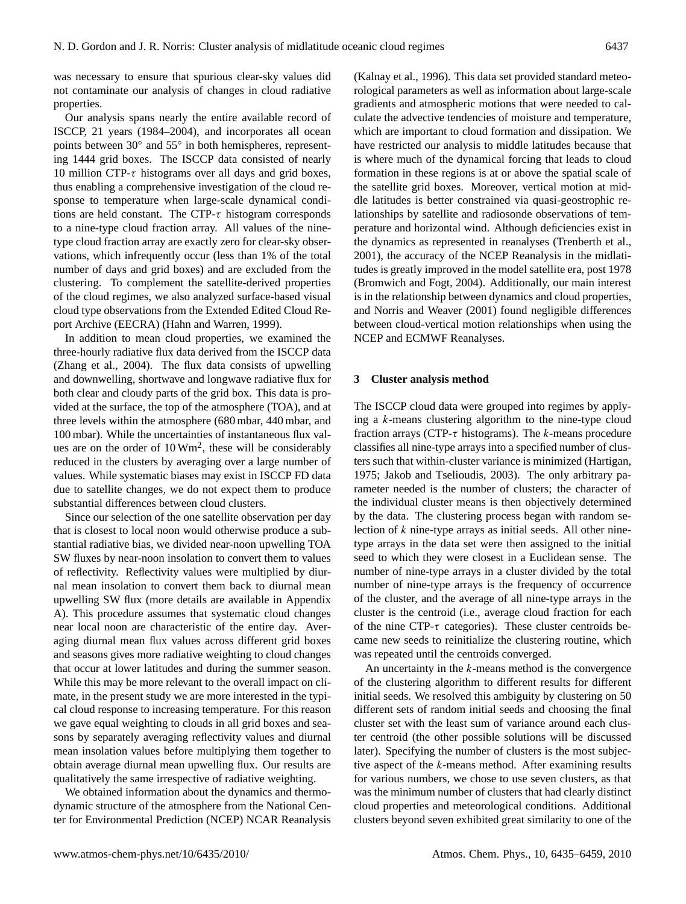was necessary to ensure that spurious clear-sky values did not contaminate our analysis of changes in cloud radiative properties.

Our analysis spans nearly the entire available record of ISCCP, 21 years (1984–2004), and incorporates all ocean points between 30° and 55° in both hemispheres, representing 1444 grid boxes. The ISCCP data consisted of nearly 10 million CTP- $\tau$  histograms over all days and grid boxes, thus enabling a comprehensive investigation of the cloud response to temperature when large-scale dynamical conditions are held constant. The CTP- $\tau$  histogram corresponds to a nine-type cloud fraction array. All values of the ninetype cloud fraction array are exactly zero for clear-sky observations, which infrequently occur (less than 1% of the total number of days and grid boxes) and are excluded from the clustering. To complement the satellite-derived properties of the cloud regimes, we also analyzed surface-based visual cloud type observations from the Extended Edited Cloud Report Archive (EECRA) (Hahn and Warren, 1999).

In addition to mean cloud properties, we examined the three-hourly radiative flux data derived from the ISCCP data (Zhang et al., 2004). The flux data consists of upwelling and downwelling, shortwave and longwave radiative flux for both clear and cloudy parts of the grid box. This data is provided at the surface, the top of the atmosphere (TOA), and at three levels within the atmosphere (680 mbar, 440 mbar, and 100 mbar). While the uncertainties of instantaneous flux values are on the order of  $10 \text{ Wm}^2$ , these will be considerably reduced in the clusters by averaging over a large number of values. While systematic biases may exist in ISCCP FD data due to satellite changes, we do not expect them to produce substantial differences between cloud clusters.

Since our selection of the one satellite observation per day that is closest to local noon would otherwise produce a substantial radiative bias, we divided near-noon upwelling TOA SW fluxes by near-noon insolation to convert them to values of reflectivity. Reflectivity values were multiplied by diurnal mean insolation to convert them back to diurnal mean upwelling SW flux (more details are available in Appendix A). This procedure assumes that systematic cloud changes near local noon are characteristic of the entire day. Averaging diurnal mean flux values across different grid boxes and seasons gives more radiative weighting to cloud changes that occur at lower latitudes and during the summer season. While this may be more relevant to the overall impact on climate, in the present study we are more interested in the typical cloud response to increasing temperature. For this reason we gave equal weighting to clouds in all grid boxes and seasons by separately averaging reflectivity values and diurnal mean insolation values before multiplying them together to obtain average diurnal mean upwelling flux. Our results are qualitatively the same irrespective of radiative weighting.

We obtained information about the dynamics and thermodynamic structure of the atmosphere from the National Center for Environmental Prediction (NCEP) NCAR Reanalysis

(Kalnay et al., 1996). This data set provided standard meteorological parameters as well as information about large-scale gradients and atmospheric motions that were needed to calculate the advective tendencies of moisture and temperature, which are important to cloud formation and dissipation. We have restricted our analysis to middle latitudes because that is where much of the dynamical forcing that leads to cloud formation in these regions is at or above the spatial scale of the satellite grid boxes. Moreover, vertical motion at middle latitudes is better constrained via quasi-geostrophic relationships by satellite and radiosonde observations of temperature and horizontal wind. Although deficiencies exist in the dynamics as represented in reanalyses (Trenberth et al., 2001), the accuracy of the NCEP Reanalysis in the midlatitudes is greatly improved in the model satellite era, post 1978 (Bromwich and Fogt, 2004). Additionally, our main interest is in the relationship between dynamics and cloud properties, and Norris and Weaver (2001) found negligible differences between cloud-vertical motion relationships when using the NCEP and ECMWF Reanalyses.

## **3 Cluster analysis method**

The ISCCP cloud data were grouped into regimes by applying a k-means clustering algorithm to the nine-type cloud fraction arrays (CTP- $\tau$  histograms). The k-means procedure classifies all nine-type arrays into a specified number of clusters such that within-cluster variance is minimized (Hartigan, 1975; Jakob and Tselioudis, 2003). The only arbitrary parameter needed is the number of clusters; the character of the individual cluster means is then objectively determined by the data. The clustering process began with random selection of  $k$  nine-type arrays as initial seeds. All other ninetype arrays in the data set were then assigned to the initial seed to which they were closest in a Euclidean sense. The number of nine-type arrays in a cluster divided by the total number of nine-type arrays is the frequency of occurrence of the cluster, and the average of all nine-type arrays in the cluster is the centroid (i.e., average cloud fraction for each of the nine CTP- $\tau$  categories). These cluster centroids became new seeds to reinitialize the clustering routine, which was repeated until the centroids converged.

An uncertainty in the k-means method is the convergence of the clustering algorithm to different results for different initial seeds. We resolved this ambiguity by clustering on 50 different sets of random initial seeds and choosing the final cluster set with the least sum of variance around each cluster centroid (the other possible solutions will be discussed later). Specifying the number of clusters is the most subjective aspect of the k-means method. After examining results for various numbers, we chose to use seven clusters, as that was the minimum number of clusters that had clearly distinct cloud properties and meteorological conditions. Additional clusters beyond seven exhibited great similarity to one of the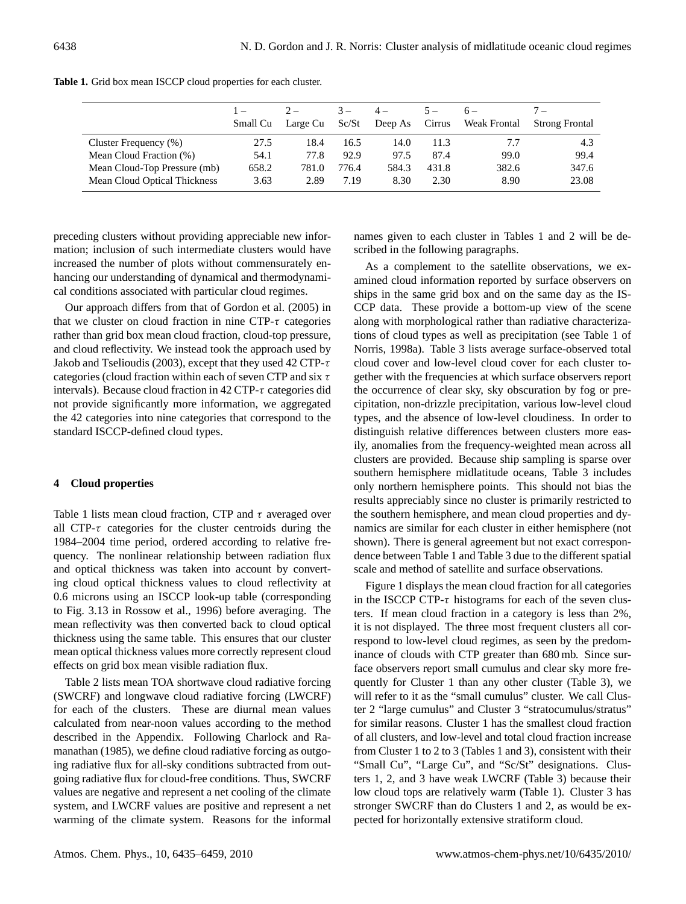|                              | Small Cu | $2 -$<br>Large Cu | $3 -$<br>Sc/St | 4 –<br>Deep As | $5 -$<br>Cirrus | $6-$<br>Weak Frontal | $7 -$<br><b>Strong Frontal</b> |
|------------------------------|----------|-------------------|----------------|----------------|-----------------|----------------------|--------------------------------|
| Cluster Frequency (%)        | 27.5     | 18.4              | 16.5           | 14.0           | 11.3            | 7.7                  | 4.3                            |
| Mean Cloud Fraction (%)      | 54.1     | 77.8              | 92.9           | 97.5           | 87.4            | 99.0                 | 99.4                           |
| Mean Cloud-Top Pressure (mb) | 658.2    | 781.0             | 776.4          | 584.3          | 431.8           | 382.6                | 347.6                          |
| Mean Cloud Optical Thickness | 3.63     | 2.89              | 7.19           | 8.30           | 2.30            | 8.90                 | 23.08                          |

**Table 1.** Grid box mean ISCCP cloud properties for each cluster.

preceding clusters without providing appreciable new information; inclusion of such intermediate clusters would have increased the number of plots without commensurately enhancing our understanding of dynamical and thermodynamical conditions associated with particular cloud regimes.

Our approach differs from that of Gordon et al. (2005) in that we cluster on cloud fraction in nine CTP- $\tau$  categories rather than grid box mean cloud fraction, cloud-top pressure, and cloud reflectivity. We instead took the approach used by Jakob and Tselioudis (2003), except that they used 42 CTP- $\tau$ categories (cloud fraction within each of seven CTP and six  $\tau$ intervals). Because cloud fraction in  $42$  CTP- $\tau$  categories did not provide significantly more information, we aggregated the 42 categories into nine categories that correspond to the standard ISCCP-defined cloud types.

# **4 Cloud properties**

Table 1 lists mean cloud fraction, CTP and  $\tau$  averaged over all CTP- $\tau$  categories for the cluster centroids during the 1984–2004 time period, ordered according to relative frequency. The nonlinear relationship between radiation flux and optical thickness was taken into account by converting cloud optical thickness values to cloud reflectivity at 0.6 microns using an ISCCP look-up table (corresponding to Fig. 3.13 in Rossow et al., 1996) before averaging. The mean reflectivity was then converted back to cloud optical thickness using the same table. This ensures that our cluster mean optical thickness values more correctly represent cloud effects on grid box mean visible radiation flux.

Table 2 lists mean TOA shortwave cloud radiative forcing (SWCRF) and longwave cloud radiative forcing (LWCRF) for each of the clusters. These are diurnal mean values calculated from near-noon values according to the method described in the Appendix. Following Charlock and Ramanathan (1985), we define cloud radiative forcing as outgoing radiative flux for all-sky conditions subtracted from outgoing radiative flux for cloud-free conditions. Thus, SWCRF values are negative and represent a net cooling of the climate system, and LWCRF values are positive and represent a net warming of the climate system. Reasons for the informal names given to each cluster in Tables 1 and 2 will be described in the following paragraphs.

As a complement to the satellite observations, we examined cloud information reported by surface observers on ships in the same grid box and on the same day as the IS-CCP data. These provide a bottom-up view of the scene along with morphological rather than radiative characterizations of cloud types as well as precipitation (see Table 1 of Norris, 1998a). Table 3 lists average surface-observed total cloud cover and low-level cloud cover for each cluster together with the frequencies at which surface observers report the occurrence of clear sky, sky obscuration by fog or precipitation, non-drizzle precipitation, various low-level cloud types, and the absence of low-level cloudiness. In order to distinguish relative differences between clusters more easily, anomalies from the frequency-weighted mean across all clusters are provided. Because ship sampling is sparse over southern hemisphere midlatitude oceans, Table 3 includes only northern hemisphere points. This should not bias the results appreciably since no cluster is primarily restricted to the southern hemisphere, and mean cloud properties and dynamics are similar for each cluster in either hemisphere (not shown). There is general agreement but not exact correspondence between Table 1 and Table 3 due to the different spatial scale and method of satellite and surface observations.

Figure 1 displays the mean cloud fraction for all categories in the ISCCP CTP- $\tau$  histograms for each of the seven clusters. If mean cloud fraction in a category is less than 2%, it is not displayed. The three most frequent clusters all correspond to low-level cloud regimes, as seen by the predominance of clouds with CTP greater than 680 mb. Since surface observers report small cumulus and clear sky more frequently for Cluster 1 than any other cluster (Table 3), we will refer to it as the "small cumulus" cluster. We call Cluster 2 "large cumulus" and Cluster 3 "stratocumulus/stratus" for similar reasons. Cluster 1 has the smallest cloud fraction of all clusters, and low-level and total cloud fraction increase from Cluster 1 to 2 to 3 (Tables 1 and 3), consistent with their "Small Cu", "Large Cu", and "Sc/St" designations. Clusters 1, 2, and 3 have weak LWCRF (Table 3) because their low cloud tops are relatively warm (Table 1). Cluster 3 has stronger SWCRF than do Clusters 1 and 2, as would be expected for horizontally extensive stratiform cloud.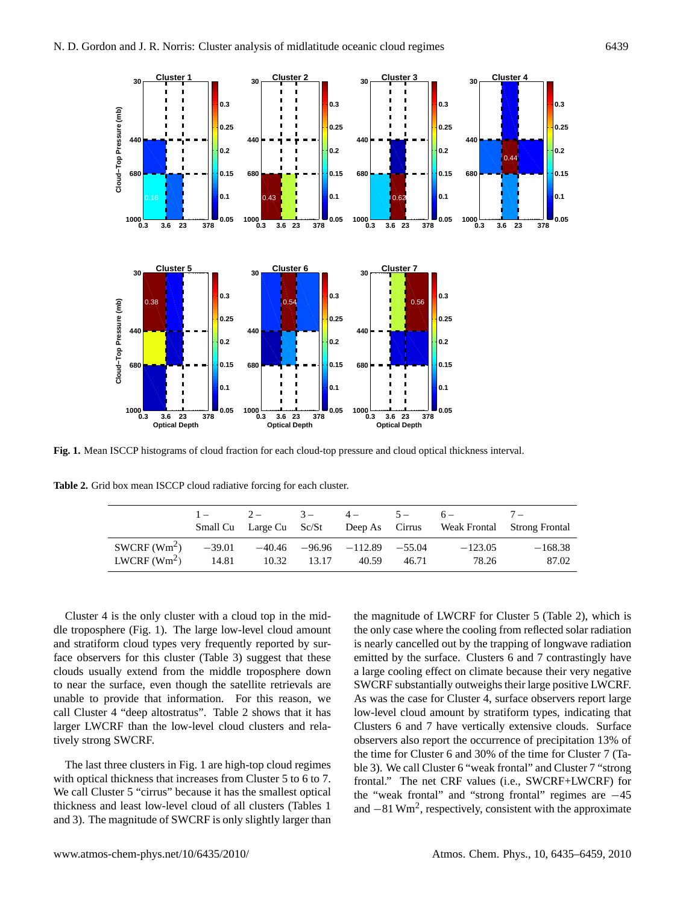

**Fig. 1.** Mean ISCCP histograms of cloud fraction for each cloud-top pressure and cloud optical thickness interval.

 $1 - 2 - 3 - 4 - 5 - 6 - 7 -$ Small Cu Large Cu Sc/St Deep As Cirrus Weak Frontal Strong Frontal  $SWCRF(Wm<sup>2</sup>)$ ) −39.01 −40.46 −96.96 −112.89 −55.04 −123.05 −168.38  $LWCRF$  (Wm<sup>2</sup>) ) 14.81 10.32 13.17 40.59 46.71 78.26 87.02

**Table 2.** Grid box mean ISCCP cloud radiative forcing for each cluster.

Cluster 4 is the only cluster with a cloud top in the middle troposphere (Fig. 1). The large low-level cloud amount and stratiform cloud types very frequently reported by surface observers for this cluster (Table 3) suggest that these clouds usually extend from the middle troposphere down to near the surface, even though the satellite retrievals are unable to provide that information. For this reason, we call Cluster 4 "deep altostratus". Table 2 shows that it has larger LWCRF than the low-level cloud clusters and relatively strong SWCRF.

The last three clusters in Fig. 1 are high-top cloud regimes with optical thickness that increases from Cluster 5 to 6 to 7. We call Cluster 5 "cirrus" because it has the smallest optical thickness and least low-level cloud of all clusters (Tables 1 and 3). The magnitude of SWCRF is only slightly larger than the magnitude of LWCRF for Cluster 5 (Table 2), which is the only case where the cooling from reflected solar radiation is nearly cancelled out by the trapping of longwave radiation emitted by the surface. Clusters 6 and 7 contrastingly have a large cooling effect on climate because their very negative SWCRF substantially outweighs their large positive LWCRF. As was the case for Cluster 4, surface observers report large low-level cloud amount by stratiform types, indicating that Clusters 6 and 7 have vertically extensive clouds. Surface observers also report the occurrence of precipitation 13% of the time for Cluster 6 and 30% of the time for Cluster 7 (Table 3). We call Cluster 6 "weak frontal" and Cluster 7 "strong frontal." The net CRF values (i.e., SWCRF+LWCRF) for the "weak frontal" and "strong frontal" regimes are −45 and  $-81$  Wm<sup>2</sup>, respectively, consistent with the approximate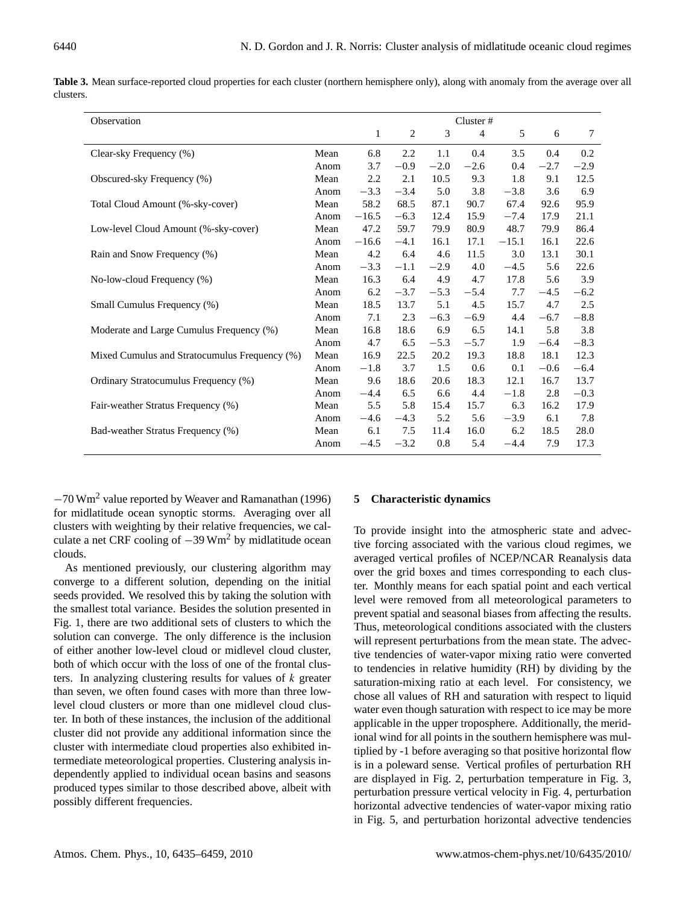| Observation                                   |      |              | Cluster $#$  |        |        |         |        |        |  |  |  |
|-----------------------------------------------|------|--------------|--------------|--------|--------|---------|--------|--------|--|--|--|
|                                               |      | $\mathbf{1}$ | $\mathbf{2}$ | 3      | 4      | 5       | 6      | 7      |  |  |  |
| Clear-sky Frequency (%)                       | Mean | 6.8          | 2.2          | 1.1    | 0.4    | 3.5     | 0.4    | 0.2    |  |  |  |
|                                               | Anom | 3.7          | $-0.9$       | $-2.0$ | $-2.6$ | 0.4     | $-2.7$ | $-2.9$ |  |  |  |
| Obscured-sky Frequency (%)                    | Mean | 2.2          | 2.1          | 10.5   | 9.3    | 1.8     | 9.1    | 12.5   |  |  |  |
|                                               | Anom | $-3.3$       | $-3.4$       | 5.0    | 3.8    | $-3.8$  | 3.6    | 6.9    |  |  |  |
| Total Cloud Amount (%-sky-cover)              | Mean | 58.2         | 68.5         | 87.1   | 90.7   | 67.4    | 92.6   | 95.9   |  |  |  |
|                                               | Anom | $-16.5$      | $-6.3$       | 12.4   | 15.9   | $-7.4$  | 17.9   | 21.1   |  |  |  |
| Low-level Cloud Amount (%-sky-cover)          | Mean | 47.2         | 59.7         | 79.9   | 80.9   | 48.7    | 79.9   | 86.4   |  |  |  |
|                                               | Anom | $-16.6$      | $-4.1$       | 16.1   | 17.1   | $-15.1$ | 16.1   | 22.6   |  |  |  |
| Rain and Snow Frequency (%)                   | Mean | 4.2          | 6.4          | 4.6    | 11.5   | 3.0     | 13.1   | 30.1   |  |  |  |
|                                               | Anom | $-3.3$       | $-1.1$       | $-2.9$ | 4.0    | $-4.5$  | 5.6    | 22.6   |  |  |  |
| No-low-cloud Frequency (%)                    | Mean | 16.3         | 6.4          | 4.9    | 4.7    | 17.8    | 5.6    | 3.9    |  |  |  |
|                                               | Anom | 6.2          | $-3.7$       | $-5.3$ | $-5.4$ | 7.7     | $-4.5$ | $-6.2$ |  |  |  |
| Small Cumulus Frequency (%)                   | Mean | 18.5         | 13.7         | 5.1    | 4.5    | 15.7    | 4.7    | 2.5    |  |  |  |
|                                               | Anom | 7.1          | 2.3          | $-6.3$ | $-6.9$ | 4.4     | $-6.7$ | $-8.8$ |  |  |  |
| Moderate and Large Cumulus Frequency (%)      | Mean | 16.8         | 18.6         | 6.9    | 6.5    | 14.1    | 5.8    | 3.8    |  |  |  |
|                                               | Anom | 4.7          | 6.5          | $-5.3$ | $-5.7$ | 1.9     | $-6.4$ | $-8.3$ |  |  |  |
| Mixed Cumulus and Stratocumulus Frequency (%) | Mean | 16.9         | 22.5         | 20.2   | 19.3   | 18.8    | 18.1   | 12.3   |  |  |  |
|                                               | Anom | $-1.8$       | 3.7          | 1.5    | 0.6    | 0.1     | $-0.6$ | $-6.4$ |  |  |  |
| Ordinary Stratocumulus Frequency (%)          | Mean | 9.6          | 18.6         | 20.6   | 18.3   | 12.1    | 16.7   | 13.7   |  |  |  |
|                                               | Anom | $-4.4$       | 6.5          | 6.6    | 4.4    | $-1.8$  | 2.8    | $-0.3$ |  |  |  |
| Fair-weather Stratus Frequency (%)            | Mean | 5.5          | 5.8          | 15.4   | 15.7   | 6.3     | 16.2   | 17.9   |  |  |  |
|                                               | Anom | $-4.6$       | $-4.3$       | 5.2    | 5.6    | $-3.9$  | 6.1    | 7.8    |  |  |  |
| Bad-weather Stratus Frequency (%)             | Mean | 6.1          | 7.5          | 11.4   | 16.0   | 6.2     | 18.5   | 28.0   |  |  |  |
|                                               | Anom | $-4.5$       | $-3.2$       | 0.8    | 5.4    | $-4.4$  | 7.9    | 17.3   |  |  |  |

**Table 3.** Mean surface-reported cloud properties for each cluster (northern hemisphere only), along with anomaly from the average over all clusters.

−70 Wm<sup>2</sup> value reported by Weaver and Ramanathan (1996) for midlatitude ocean synoptic storms. Averaging over all clusters with weighting by their relative frequencies, we calculate a net CRF cooling of −39 Wm<sup>2</sup> by midlatitude ocean clouds.

As mentioned previously, our clustering algorithm may converge to a different solution, depending on the initial seeds provided. We resolved this by taking the solution with the smallest total variance. Besides the solution presented in Fig. 1, there are two additional sets of clusters to which the solution can converge. The only difference is the inclusion of either another low-level cloud or midlevel cloud cluster, both of which occur with the loss of one of the frontal clusters. In analyzing clustering results for values of k greater than seven, we often found cases with more than three lowlevel cloud clusters or more than one midlevel cloud cluster. In both of these instances, the inclusion of the additional cluster did not provide any additional information since the cluster with intermediate cloud properties also exhibited intermediate meteorological properties. Clustering analysis independently applied to individual ocean basins and seasons produced types similar to those described above, albeit with possibly different frequencies.

# **5 Characteristic dynamics**

To provide insight into the atmospheric state and advective forcing associated with the various cloud regimes, we averaged vertical profiles of NCEP/NCAR Reanalysis data over the grid boxes and times corresponding to each cluster. Monthly means for each spatial point and each vertical level were removed from all meteorological parameters to prevent spatial and seasonal biases from affecting the results. Thus, meteorological conditions associated with the clusters will represent perturbations from the mean state. The advective tendencies of water-vapor mixing ratio were converted to tendencies in relative humidity (RH) by dividing by the saturation-mixing ratio at each level. For consistency, we chose all values of RH and saturation with respect to liquid water even though saturation with respect to ice may be more applicable in the upper troposphere. Additionally, the meridional wind for all points in the southern hemisphere was multiplied by -1 before averaging so that positive horizontal flow is in a poleward sense. Vertical profiles of perturbation RH are displayed in Fig. 2, perturbation temperature in Fig. 3, perturbation pressure vertical velocity in Fig. 4, perturbation horizontal advective tendencies of water-vapor mixing ratio in Fig. 5, and perturbation horizontal advective tendencies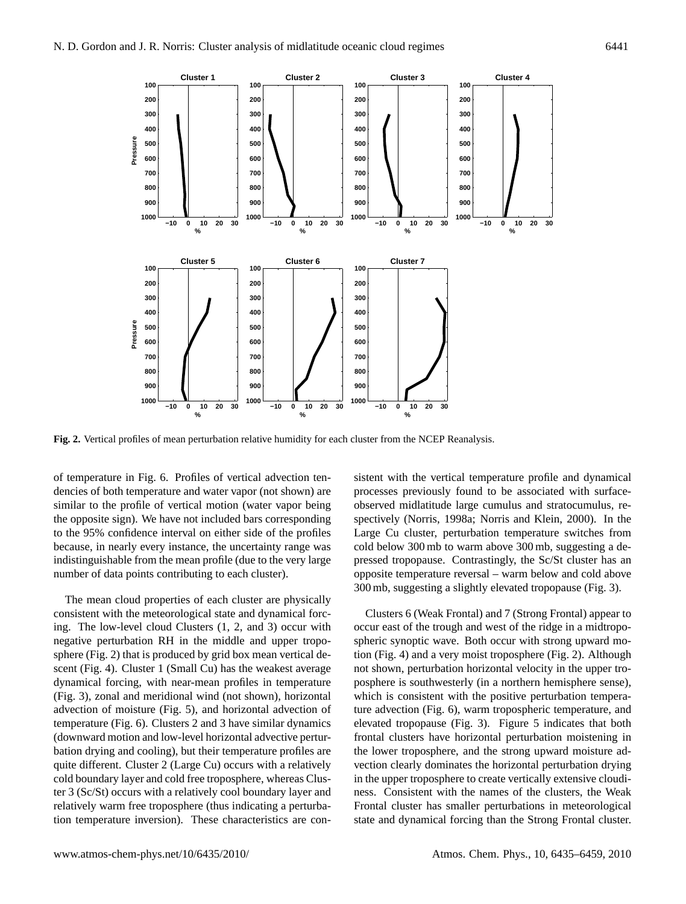

**Fig. 2.** Vertical profiles of mean perturbation relative humidity for each cluster from the NCEP Reanalysis.

of temperature in Fig. 6. Profiles of vertical advection tendencies of both temperature and water vapor (not shown) are similar to the profile of vertical motion (water vapor being the opposite sign). We have not included bars corresponding to the 95% confidence interval on either side of the profiles because, in nearly every instance, the uncertainty range was indistinguishable from the mean profile (due to the very large number of data points contributing to each cluster).

The mean cloud properties of each cluster are physically consistent with the meteorological state and dynamical forcing. The low-level cloud Clusters (1, 2, and 3) occur with negative perturbation RH in the middle and upper troposphere (Fig. 2) that is produced by grid box mean vertical descent (Fig. 4). Cluster 1 (Small Cu) has the weakest average dynamical forcing, with near-mean profiles in temperature (Fig. 3), zonal and meridional wind (not shown), horizontal advection of moisture (Fig. 5), and horizontal advection of temperature (Fig. 6). Clusters 2 and 3 have similar dynamics (downward motion and low-level horizontal advective perturbation drying and cooling), but their temperature profiles are quite different. Cluster 2 (Large Cu) occurs with a relatively cold boundary layer and cold free troposphere, whereas Cluster 3 (Sc/St) occurs with a relatively cool boundary layer and relatively warm free troposphere (thus indicating a perturbation temperature inversion). These characteristics are consistent with the vertical temperature profile and dynamical processes previously found to be associated with surfaceobserved midlatitude large cumulus and stratocumulus, respectively (Norris, 1998a; Norris and Klein, 2000). In the Large Cu cluster, perturbation temperature switches from cold below 300 mb to warm above 300 mb, suggesting a depressed tropopause. Contrastingly, the Sc/St cluster has an opposite temperature reversal – warm below and cold above 300 mb, suggesting a slightly elevated tropopause (Fig. 3).

Clusters 6 (Weak Frontal) and 7 (Strong Frontal) appear to occur east of the trough and west of the ridge in a midtropospheric synoptic wave. Both occur with strong upward motion (Fig. 4) and a very moist troposphere (Fig. 2). Although not shown, perturbation horizontal velocity in the upper troposphere is southwesterly (in a northern hemisphere sense), which is consistent with the positive perturbation temperature advection (Fig. 6), warm tropospheric temperature, and elevated tropopause (Fig. 3). Figure 5 indicates that both frontal clusters have horizontal perturbation moistening in the lower troposphere, and the strong upward moisture advection clearly dominates the horizontal perturbation drying in the upper troposphere to create vertically extensive cloudiness. Consistent with the names of the clusters, the Weak Frontal cluster has smaller perturbations in meteorological state and dynamical forcing than the Strong Frontal cluster.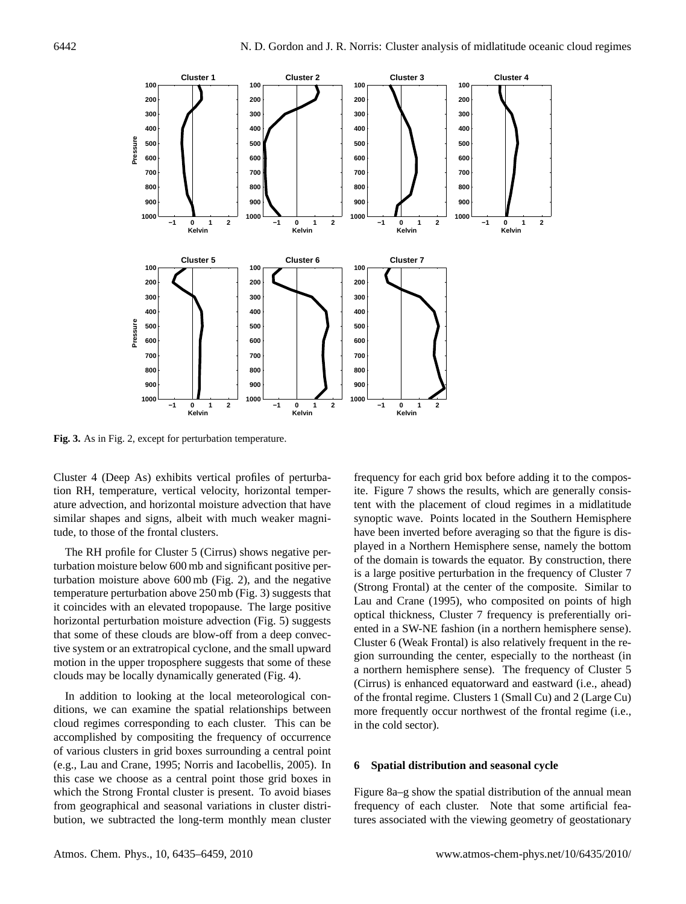

**Fig. 3.** As in Fig. 2, except for perturbation temperature.

Cluster 4 (Deep As) exhibits vertical profiles of perturbation RH, temperature, vertical velocity, horizontal temperature advection, and horizontal moisture advection that have similar shapes and signs, albeit with much weaker magnitude, to those of the frontal clusters.

The RH profile for Cluster 5 (Cirrus) shows negative perturbation moisture below 600 mb and significant positive perturbation moisture above 600 mb (Fig. 2), and the negative temperature perturbation above 250 mb (Fig. 3) suggests that it coincides with an elevated tropopause. The large positive horizontal perturbation moisture advection (Fig. 5) suggests that some of these clouds are blow-off from a deep convective system or an extratropical cyclone, and the small upward motion in the upper troposphere suggests that some of these clouds may be locally dynamically generated (Fig. 4).

In addition to looking at the local meteorological conditions, we can examine the spatial relationships between cloud regimes corresponding to each cluster. This can be accomplished by compositing the frequency of occurrence of various clusters in grid boxes surrounding a central point (e.g., Lau and Crane, 1995; Norris and Iacobellis, 2005). In this case we choose as a central point those grid boxes in which the Strong Frontal cluster is present. To avoid biases from geographical and seasonal variations in cluster distribution, we subtracted the long-term monthly mean cluster frequency for each grid box before adding it to the composite. Figure 7 shows the results, which are generally consistent with the placement of cloud regimes in a midlatitude synoptic wave. Points located in the Southern Hemisphere have been inverted before averaging so that the figure is displayed in a Northern Hemisphere sense, namely the bottom of the domain is towards the equator. By construction, there is a large positive perturbation in the frequency of Cluster 7 (Strong Frontal) at the center of the composite. Similar to Lau and Crane (1995), who composited on points of high optical thickness, Cluster 7 frequency is preferentially oriented in a SW-NE fashion (in a northern hemisphere sense). Cluster 6 (Weak Frontal) is also relatively frequent in the region surrounding the center, especially to the northeast (in a northern hemisphere sense). The frequency of Cluster 5 (Cirrus) is enhanced equatorward and eastward (i.e., ahead) of the frontal regime. Clusters 1 (Small Cu) and 2 (Large Cu) more frequently occur northwest of the frontal regime (i.e., in the cold sector).

#### **6 Spatial distribution and seasonal cycle**

Figure 8a–g show the spatial distribution of the annual mean frequency of each cluster. Note that some artificial features associated with the viewing geometry of geostationary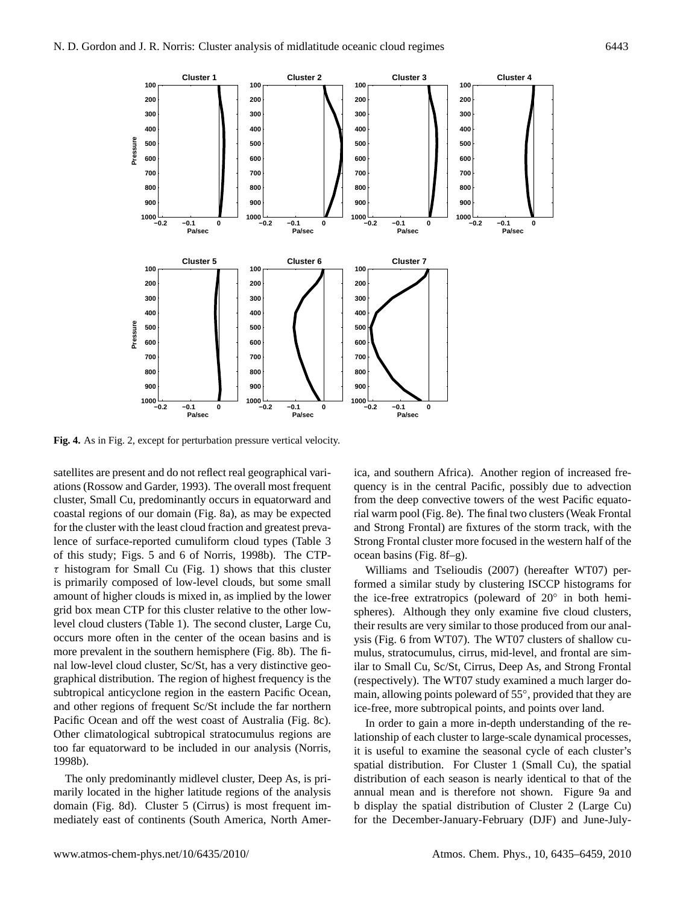

**Fig. 4.** As in Fig. 2, except for perturbation pressure vertical velocity.

satellites are present and do not reflect real geographical variations (Rossow and Garder, 1993). The overall most frequent cluster, Small Cu, predominantly occurs in equatorward and coastal regions of our domain (Fig. 8a), as may be expected for the cluster with the least cloud fraction and greatest prevalence of surface-reported cumuliform cloud types (Table 3 of this study; Figs. 5 and 6 of Norris, 1998b). The CTP- $\tau$  histogram for Small Cu (Fig. 1) shows that this cluster is primarily composed of low-level clouds, but some small amount of higher clouds is mixed in, as implied by the lower grid box mean CTP for this cluster relative to the other lowlevel cloud clusters (Table 1). The second cluster, Large Cu, occurs more often in the center of the ocean basins and is more prevalent in the southern hemisphere (Fig. 8b). The final low-level cloud cluster, Sc/St, has a very distinctive geographical distribution. The region of highest frequency is the subtropical anticyclone region in the eastern Pacific Ocean, and other regions of frequent Sc/St include the far northern Pacific Ocean and off the west coast of Australia (Fig. 8c). Other climatological subtropical stratocumulus regions are too far equatorward to be included in our analysis (Norris, 1998b).

The only predominantly midlevel cluster, Deep As, is primarily located in the higher latitude regions of the analysis domain (Fig. 8d). Cluster 5 (Cirrus) is most frequent immediately east of continents (South America, North America, and southern Africa). Another region of increased frequency is in the central Pacific, possibly due to advection from the deep convective towers of the west Pacific equatorial warm pool (Fig. 8e). The final two clusters (Weak Frontal and Strong Frontal) are fixtures of the storm track, with the Strong Frontal cluster more focused in the western half of the ocean basins (Fig. 8f–g).

Williams and Tselioudis (2007) (hereafter WT07) performed a similar study by clustering ISCCP histograms for the ice-free extratropics (poleward of 20◦ in both hemispheres). Although they only examine five cloud clusters, their results are very similar to those produced from our analysis (Fig. 6 from WT07). The WT07 clusters of shallow cumulus, stratocumulus, cirrus, mid-level, and frontal are similar to Small Cu, Sc/St, Cirrus, Deep As, and Strong Frontal (respectively). The WT07 study examined a much larger domain, allowing points poleward of 55◦ , provided that they are ice-free, more subtropical points, and points over land.

In order to gain a more in-depth understanding of the relationship of each cluster to large-scale dynamical processes, it is useful to examine the seasonal cycle of each cluster's spatial distribution. For Cluster 1 (Small Cu), the spatial distribution of each season is nearly identical to that of the annual mean and is therefore not shown. Figure 9a and b display the spatial distribution of Cluster 2 (Large Cu) for the December-January-February (DJF) and June-July-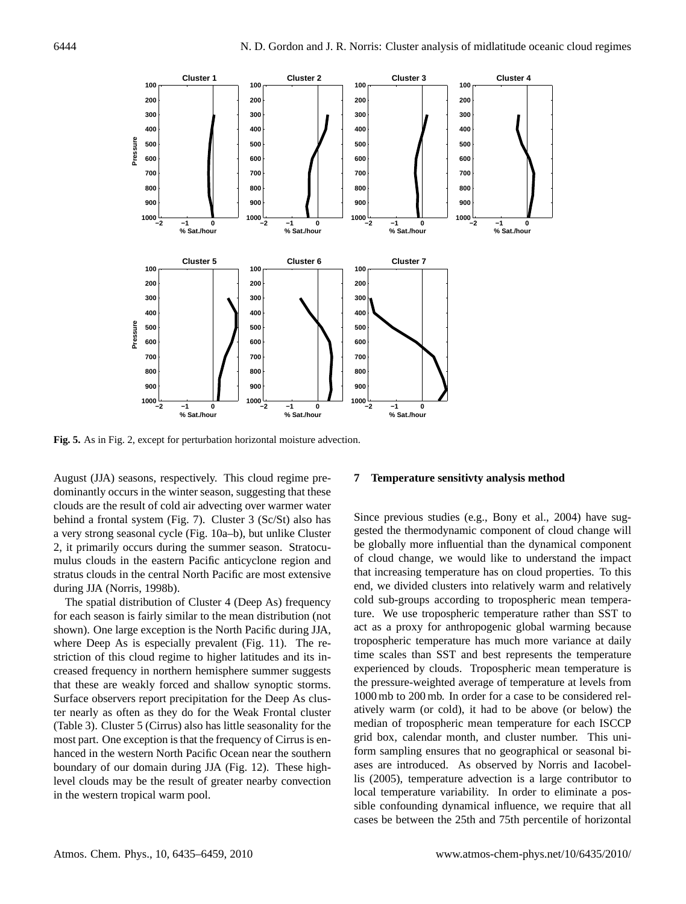

**Fig. 5.** As in Fig. 2, except for perturbation horizontal moisture advection.

August (JJA) seasons, respectively. This cloud regime predominantly occurs in the winter season, suggesting that these clouds are the result of cold air advecting over warmer water behind a frontal system (Fig. 7). Cluster 3 (Sc/St) also has a very strong seasonal cycle (Fig. 10a–b), but unlike Cluster 2, it primarily occurs during the summer season. Stratocumulus clouds in the eastern Pacific anticyclone region and stratus clouds in the central North Pacific are most extensive during JJA (Norris, 1998b).

The spatial distribution of Cluster 4 (Deep As) frequency for each season is fairly similar to the mean distribution (not shown). One large exception is the North Pacific during JJA, where Deep As is especially prevalent (Fig. 11). The restriction of this cloud regime to higher latitudes and its increased frequency in northern hemisphere summer suggests that these are weakly forced and shallow synoptic storms. Surface observers report precipitation for the Deep As cluster nearly as often as they do for the Weak Frontal cluster (Table 3). Cluster 5 (Cirrus) also has little seasonality for the most part. One exception is that the frequency of Cirrus is enhanced in the western North Pacific Ocean near the southern boundary of our domain during JJA (Fig. 12). These highlevel clouds may be the result of greater nearby convection in the western tropical warm pool.

#### **7 Temperature sensitivty analysis method**

Since previous studies (e.g., Bony et al., 2004) have suggested the thermodynamic component of cloud change will be globally more influential than the dynamical component of cloud change, we would like to understand the impact that increasing temperature has on cloud properties. To this end, we divided clusters into relatively warm and relatively cold sub-groups according to tropospheric mean temperature. We use tropospheric temperature rather than SST to act as a proxy for anthropogenic global warming because tropospheric temperature has much more variance at daily time scales than SST and best represents the temperature experienced by clouds. Tropospheric mean temperature is the pressure-weighted average of temperature at levels from 1000 mb to 200 mb. In order for a case to be considered relatively warm (or cold), it had to be above (or below) the median of tropospheric mean temperature for each ISCCP grid box, calendar month, and cluster number. This uniform sampling ensures that no geographical or seasonal biases are introduced. As observed by Norris and Iacobellis (2005), temperature advection is a large contributor to local temperature variability. In order to eliminate a possible confounding dynamical influence, we require that all cases be between the 25th and 75th percentile of horizontal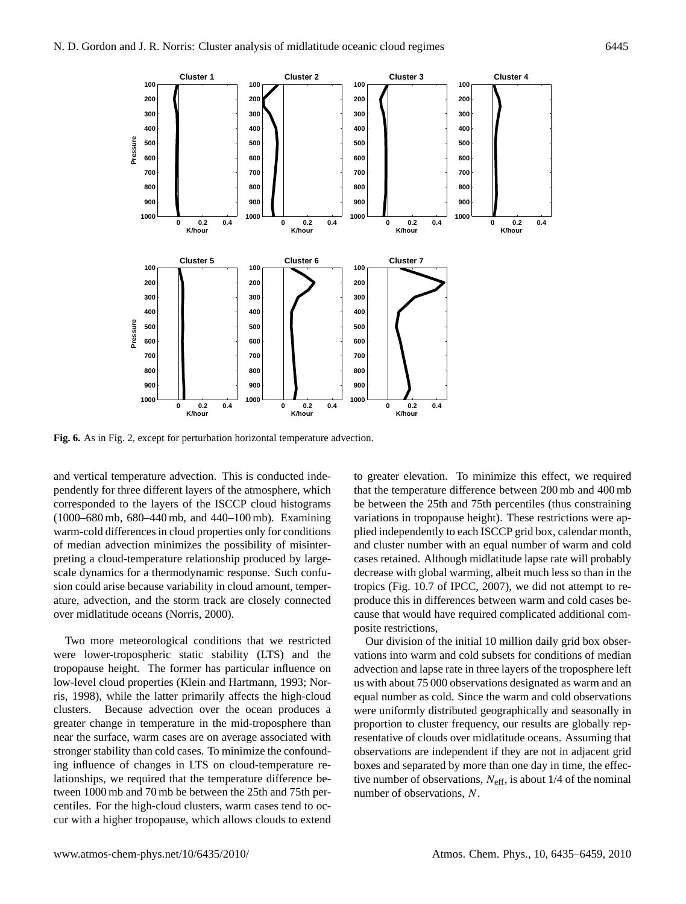

**Fig. 6.** As in Fig. 2, except for perturbation horizontal temperature advection.

and vertical temperature advection. This is conducted independently for three different layers of the atmosphere, which corresponded to the layers of the ISCCP cloud histograms (1000–680 mb, 680–440 mb, and 440–100 mb). Examining warm-cold differences in cloud properties only for conditions of median advection minimizes the possibility of misinterpreting a cloud-temperature relationship produced by largescale dynamics for a thermodynamic response. Such confusion could arise because variability in cloud amount, temperature, advection, and the storm track are closely connected over midlatitude oceans (Norris, 2000).

Two more meteorological conditions that we restricted were lower-tropospheric static stability (LTS) and the tropopause height. The former has particular influence on low-level cloud properties (Klein and Hartmann, 1993; Norris, 1998), while the latter primarily affects the high-cloud clusters. Because advection over the ocean produces a greater change in temperature in the mid-troposphere than near the surface, warm cases are on average associated with stronger stability than cold cases. To minimize the confounding influence of changes in LTS on cloud-temperature relationships, we required that the temperature difference between 1000 mb and 70 mb be between the 25th and 75th percentiles. For the high-cloud clusters, warm cases tend to occur with a higher tropopause, which allows clouds to extend to greater elevation. To minimize this effect, we required that the temperature difference between 200 mb and 400 mb be between the 25th and 75th percentiles (thus constraining variations in tropopause height). These restrictions were applied independently to each ISCCP grid box, calendar month, and cluster number with an equal number of warm and cold cases retained. Although midlatitude lapse rate will probably decrease with global warming, albeit much less so than in the tropics (Fig. 10.7 of IPCC, 2007), we did not attempt to reproduce this in differences between warm and cold cases because that would have required complicated additional composite restrictions,

Our division of the initial 10 million daily grid box observations into warm and cold subsets for conditions of median advection and lapse rate in three layers of the troposphere left us with about 75 000 observations designated as warm and an equal number as cold. Since the warm and cold observations were uniformly distributed geographically and seasonally in proportion to cluster frequency, our results are globally representative of clouds over midlatitude oceans. Assuming that observations are independent if they are not in adjacent grid boxes and separated by more than one day in time, the effective number of observations,  $N_{\text{eff}}$ , is about 1/4 of the nominal number of observations, N.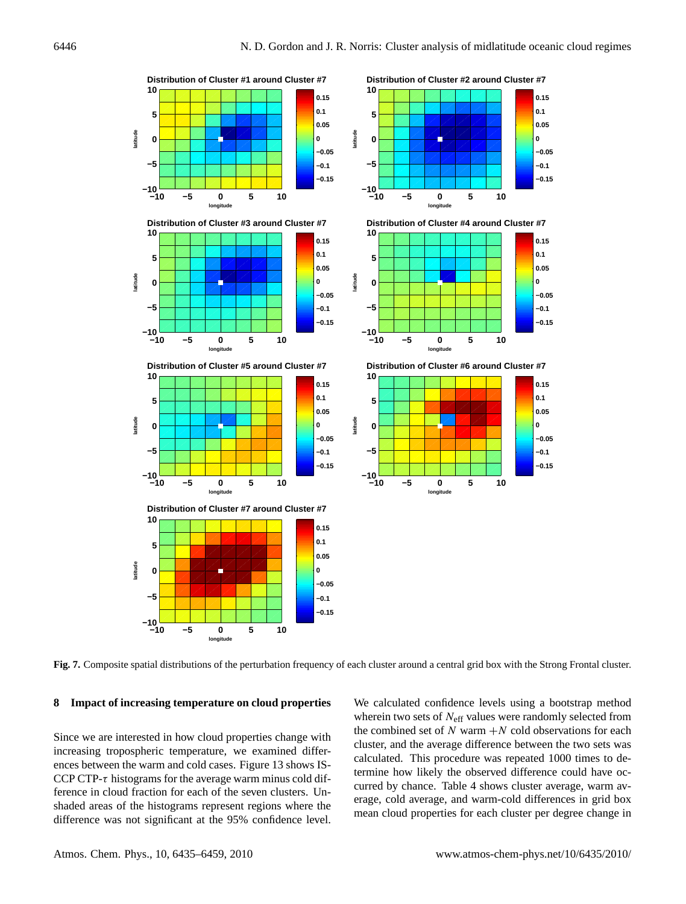

**Fig. 7.** Composite spatial distributions of the perturbation frequency of each cluster around a central grid box with the Strong Frontal cluster.

# **8 Impact of increasing temperature on cloud properties**

Since we are interested in how cloud properties change with increasing tropospheric temperature, we examined differences between the warm and cold cases. Figure 13 shows IS-CCP CTP- $\tau$  histograms for the average warm minus cold difference in cloud fraction for each of the seven clusters. Unshaded areas of the histograms represent regions where the difference was not significant at the 95% confidence level.

We calculated confidence levels using a bootstrap method wherein two sets of  $N_{\text{eff}}$  values were randomly selected from the combined set of  $N$  warm  $+N$  cold observations for each cluster, and the average difference between the two sets was calculated. This procedure was repeated 1000 times to determine how likely the observed difference could have occurred by chance. Table 4 shows cluster average, warm average, cold average, and warm-cold differences in grid box mean cloud properties for each cluster per degree change in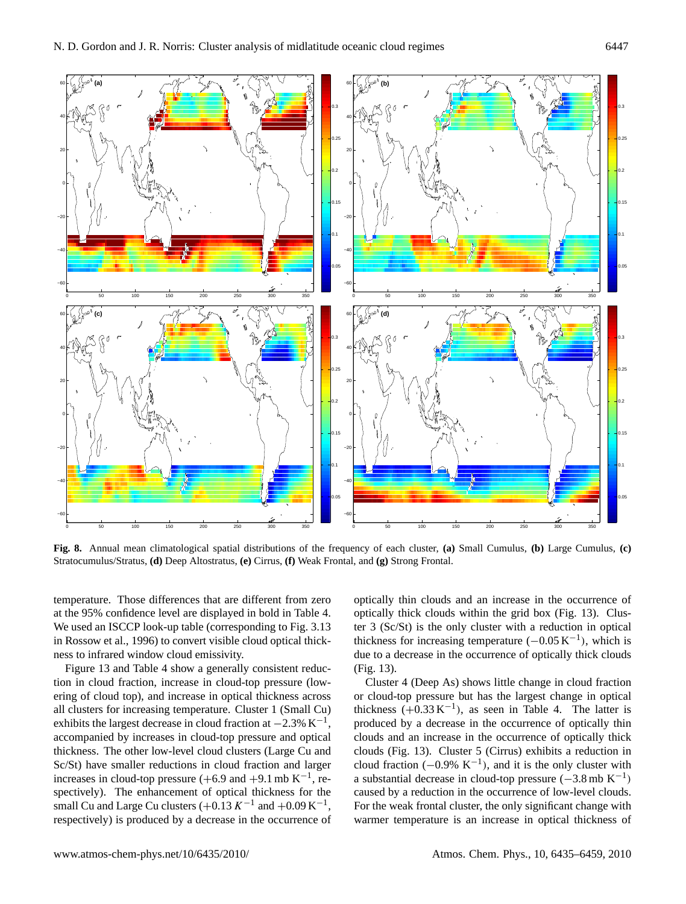

**Fig. 8.** Annual mean climatological spatial distributions of the frequency of each cluster, **(a)** Small Cumulus, **(b)** Large Cumulus, **(c)** Stratocumulus/Stratus, **(d)** Deep Altostratus, **(e)** Cirrus, **(f)** Weak Frontal, and **(g)** Strong Frontal.

temperature. Those differences that are different from zero at the 95% confidence level are displayed in bold in Table 4. We used an ISCCP look-up table (corresponding to Fig. 3.13) in Rossow et al., 1996) to convert visible cloud optical thickness to infrared window cloud emissivity.

Figure 13 and Table 4 show a generally consistent reduction in cloud fraction, increase in cloud-top pressure (lowering of cloud top), and increase in optical thickness across all clusters for increasing temperature. Cluster 1 (Small Cu) exhibits the largest decrease in cloud fraction at  $-2.3\%$  K<sup>-1</sup>, accompanied by increases in cloud-top pressure and optical thickness. The other low-level cloud clusters (Large Cu and Sc/St) have smaller reductions in cloud fraction and larger increases in cloud-top pressure  $(+6.9 \text{ and } +9.1 \text{ mb K}^{-1})$ , respectively). The enhancement of optical thickness for the small Cu and Large Cu clusters  $(+0.13 K^{-1}$  and  $+0.09 K^{-1}$ , respectively) is produced by a decrease in the occurrence of

optically thin clouds and an increase in the occurrence of optically thick clouds within the grid box (Fig. 13). Cluster 3 (Sc/St) is the only cluster with a reduction in optical thickness for increasing temperature  $(-0.05 \text{ K}^{-1})$ , which is due to a decrease in the occurrence of optically thick clouds (Fig. 13).

Cluster 4 (Deep As) shows little change in cloud fraction or cloud-top pressure but has the largest change in optical thickness  $(+0.33 \text{ K}^{-1})$ , as seen in Table 4. The latter is produced by a decrease in the occurrence of optically thin clouds and an increase in the occurrence of optically thick clouds (Fig. 13). Cluster 5 (Cirrus) exhibits a reduction in cloud fraction  $(-0.9\% \text{ K}^{-1})$ , and it is the only cluster with a substantial decrease in cloud-top pressure  $(-3.8 \text{ mb K}^{-1})$ caused by a reduction in the occurrence of low-level clouds. For the weak frontal cluster, the only significant change with warmer temperature is an increase in optical thickness of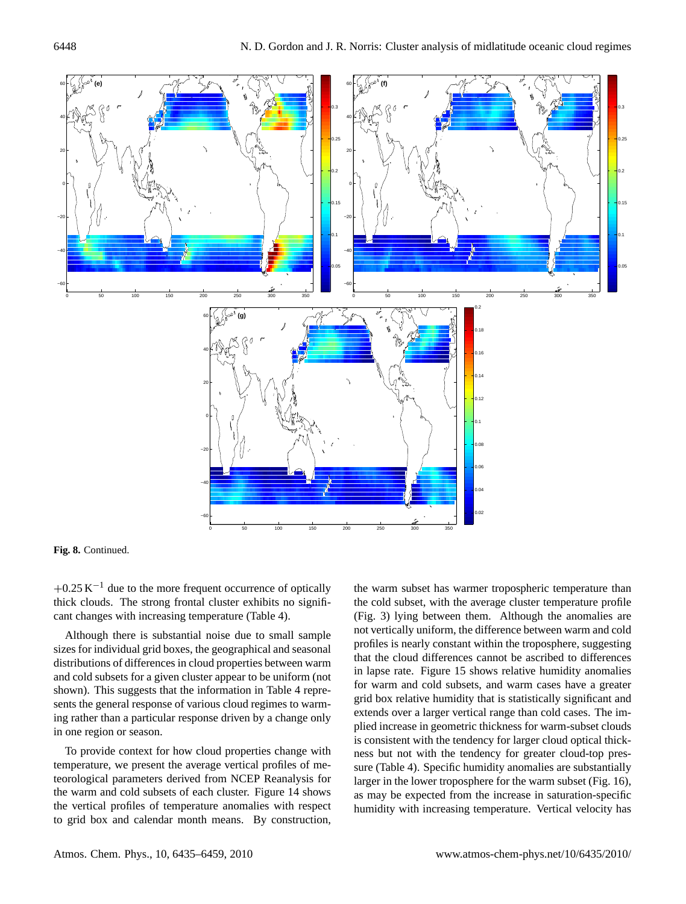

**Fig. 8.** Continued.

 $+0.25 \text{ K}^{-1}$  due to the more frequent occurrence of optically thick clouds. The strong frontal cluster exhibits no significant changes with increasing temperature (Table 4).

Although there is substantial noise due to small sample sizes for individual grid boxes, the geographical and seasonal distributions of differences in cloud properties between warm and cold subsets for a given cluster appear to be uniform (not shown). This suggests that the information in Table 4 represents the general response of various cloud regimes to warming rather than a particular response driven by a change only in one region or season.

To provide context for how cloud properties change with temperature, we present the average vertical profiles of meteorological parameters derived from NCEP Reanalysis for the warm and cold subsets of each cluster. Figure 14 shows the vertical profiles of temperature anomalies with respect to grid box and calendar month means. By construction, the warm subset has warmer tropospheric temperature than the cold subset, with the average cluster temperature profile (Fig. 3) lying between them. Although the anomalies are not vertically uniform, the difference between warm and cold profiles is nearly constant within the troposphere, suggesting that the cloud differences cannot be ascribed to differences in lapse rate. Figure 15 shows relative humidity anomalies for warm and cold subsets, and warm cases have a greater grid box relative humidity that is statistically significant and extends over a larger vertical range than cold cases. The implied increase in geometric thickness for warm-subset clouds is consistent with the tendency for larger cloud optical thickness but not with the tendency for greater cloud-top pressure (Table 4). Specific humidity anomalies are substantially larger in the lower troposphere for the warm subset (Fig. 16), as may be expected from the increase in saturation-specific humidity with increasing temperature. Vertical velocity has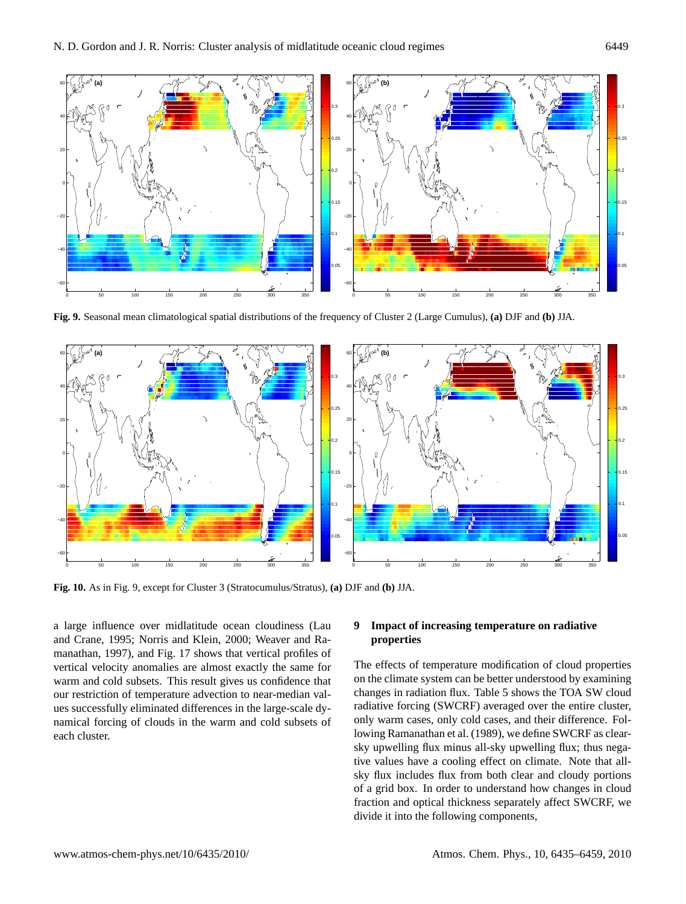

**Fig. 9.** Seasonal mean climatological spatial distributions of the frequency of Cluster 2 (Large Cumulus), **(a)** DJF and **(b)** JJA.



**Fig. 10.** As in Fig. 9, except for Cluster 3 (Stratocumulus/Stratus), **(a)** DJF and **(b)** JJA.

a large influence over midlatitude ocean cloudiness (Lau and Crane, 1995; Norris and Klein, 2000; Weaver and Ramanathan, 1997), and Fig. 17 shows that vertical profiles of vertical velocity anomalies are almost exactly the same for warm and cold subsets. This result gives us confidence that our restriction of temperature advection to near-median values successfully eliminated differences in the large-scale dynamical forcing of clouds in the warm and cold subsets of each cluster.

# **9 Impact of increasing temperature on radiative properties**

The effects of temperature modification of cloud properties on the climate system can be better understood by examining changes in radiation flux. Table 5 shows the TOA SW cloud radiative forcing (SWCRF) averaged over the entire cluster, only warm cases, only cold cases, and their difference. Following Ramanathan et al. (1989), we define SWCRF as clearsky upwelling flux minus all-sky upwelling flux; thus negative values have a cooling effect on climate. Note that allsky flux includes flux from both clear and cloudy portions of a grid box. In order to understand how changes in cloud fraction and optical thickness separately affect SWCRF, we divide it into the following components,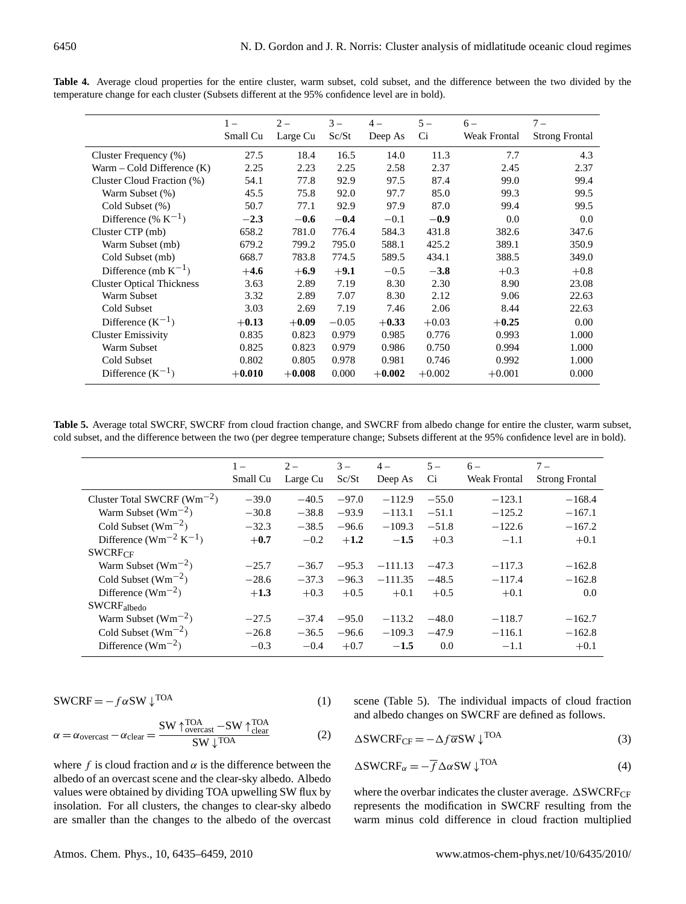|                                  | $1 -$    | $2 -$    | $3-$    | $4-$     | $5-$     | $6-$         | $7 -$                 |
|----------------------------------|----------|----------|---------|----------|----------|--------------|-----------------------|
|                                  | Small Cu | Large Cu | Sc/St   | Deep As  | $\rm Ci$ | Weak Frontal | <b>Strong Frontal</b> |
| Cluster Frequency (%)            | 27.5     | 18.4     | 16.5    | 14.0     | 11.3     | 7.7          | 4.3                   |
| $Warm - Cold Difference (K)$     | 2.25     | 2.23     | 2.25    | 2.58     | 2.37     | 2.45         | 2.37                  |
| Cluster Cloud Fraction (%)       | 54.1     | 77.8     | 92.9    | 97.5     | 87.4     | 99.0         | 99.4                  |
| Warm Subset (%)                  | 45.5     | 75.8     | 92.0    | 97.7     | 85.0     | 99.3         | 99.5                  |
| Cold Subset (%)                  | 50.7     | 77.1     | 92.9    | 97.9     | 87.0     | 99.4         | 99.5                  |
| Difference $(\% K^{-1})$         | $-2.3$   | $-0.6$   | $-0.4$  | $-0.1$   | $-0.9$   | 0.0          | 0.0                   |
| Cluster CTP (mb)                 | 658.2    | 781.0    | 776.4   | 584.3    | 431.8    | 382.6        | 347.6                 |
| Warm Subset (mb)                 | 679.2    | 799.2    | 795.0   | 588.1    | 425.2    | 389.1        | 350.9                 |
| Cold Subset (mb)                 | 668.7    | 783.8    | 774.5   | 589.5    | 434.1    | 388.5        | 349.0                 |
| Difference (mb $K^{-1}$ )        | $+4.6$   | $+6.9$   | $+9.1$  | $-0.5$   | $-3.8$   | $+0.3$       | $+0.8$                |
| <b>Cluster Optical Thickness</b> | 3.63     | 2.89     | 7.19    | 8.30     | 2.30     | 8.90         | 23.08                 |
| Warm Subset                      | 3.32     | 2.89     | 7.07    | 8.30     | 2.12     | 9.06         | 22.63                 |
| Cold Subset                      | 3.03     | 2.69     | 7.19    | 7.46     | 2.06     | 8.44         | 22.63                 |
| Difference $(K^{-1})$            | $+0.13$  | $+0.09$  | $-0.05$ | $+0.33$  | $+0.03$  | $+0.25$      | 0.00                  |
| <b>Cluster Emissivity</b>        | 0.835    | 0.823    | 0.979   | 0.985    | 0.776    | 0.993        | 1.000                 |
| Warm Subset                      | 0.825    | 0.823    | 0.979   | 0.986    | 0.750    | 0.994        | 1.000                 |
| Cold Subset                      | 0.802    | 0.805    | 0.978   | 0.981    | 0.746    | 0.992        | 1.000                 |
| Difference $(K^{-1})$            | $+0.010$ | $+0.008$ | 0.000   | $+0.002$ | $+0.002$ | $+0.001$     | 0.000                 |

**Table 4.** Average cloud properties for the entire cluster, warm subset, cold subset, and the difference between the two divided by the temperature change for each cluster (Subsets different at the 95% confidence level are in bold).

**Table 5.** Average total SWCRF, SWCRF from cloud fraction change, and SWCRF from albedo change for entire the cluster, warm subset, cold subset, and the difference between the two (per degree temperature change; Subsets different at the 95% confidence level are in bold).

|                                   | $1 -$    | $2-$     | $3 -$   | $4-$      | $5 -$   | $6-$         | $7 -$                 |
|-----------------------------------|----------|----------|---------|-----------|---------|--------------|-----------------------|
|                                   | Small Cu | Large Cu | Sc/St   | Deep As   | Ci      | Weak Frontal | <b>Strong Frontal</b> |
| Cluster Total SWCRF ( $Wm^{-2}$ ) | $-39.0$  | $-40.5$  | $-97.0$ | $-112.9$  | $-55.0$ | $-123.1$     | $-168.4$              |
| Warm Subset $(Wm^{-2})$           | $-30.8$  | $-38.8$  | $-93.9$ | $-113.1$  | $-51.1$ | $-125.2$     | $-167.1$              |
| Cold Subset $(Wm^{-2})$           | $-32.3$  | $-38.5$  | $-96.6$ | $-109.3$  | $-51.8$ | $-122.6$     | $-167.2$              |
| Difference ( $Wm^{-2} K^{-1}$ )   | $+0.7$   | $-0.2$   | $+1.2$  | $-1.5$    | $+0.3$  | $-1.1$       | $+0.1$                |
| $SWCRF_{CF}$                      |          |          |         |           |         |              |                       |
| Warm Subset $(Wm^{-2})$           | $-25.7$  | $-36.7$  | $-95.3$ | $-111.13$ | $-47.3$ | $-117.3$     | $-162.8$              |
| Cold Subset $(Wm^{-2})$           | $-28.6$  | $-37.3$  | $-96.3$ | $-111.35$ | $-48.5$ | $-117.4$     | $-162.8$              |
| Difference $(Wm^{-2})$            | $+1.3$   | $+0.3$   | $+0.5$  | $+0.1$    | $+0.5$  | $+0.1$       | 0.0                   |
| SWCRFalbedo                       |          |          |         |           |         |              |                       |
| Warm Subset $(Wm^{-2})$           | $-27.5$  | $-37.4$  | $-95.0$ | $-113.2$  | $-48.0$ | $-118.7$     | $-162.7$              |
| Cold Subset $(Wm^{-2})$           | $-26.8$  | $-36.5$  | $-96.6$ | $-109.3$  | $-47.9$ | $-116.1$     | $-162.8$              |
| Difference $(Wm^{-2})$            | $-0.3$   | $-0.4$   | $+0.7$  | $-1.5$    | 0.0     | $-1.1$       | $+0.1$                |

$$
SWCRF = -f\alpha SW \downarrow^{TOA} \tag{1}
$$

$$
\alpha = \alpha_{\text{overcast}} - \alpha_{\text{clear}} = \frac{\text{SW} \uparrow_{\text{overcast}}^{\text{TOA}} - \text{SW} \uparrow_{\text{clear}}^{\text{TOA}}}{\text{SW} \downarrow^{\text{TOA}}} \tag{2}
$$

scene (Table 5). The individual impacts of cloud fraction and albedo changes on SWCRF are defined as follows.

$$
\Delta \text{SWCRF}_{\text{CF}} = -\Delta f \overline{\alpha} \text{SW} \downarrow^{\text{TOA}} \tag{3}
$$

$$
\Delta \text{SWCRF}_{\alpha} = -\overline{f} \Delta \alpha \text{SW} \downarrow^{\text{TOA}} \tag{4}
$$

where f is cloud fraction and  $\alpha$  is the difference between the albedo of an overcast scene and the clear-sky albedo. Albedo values were obtained by dividing TOA upwelling SW flux by insolation. For all clusters, the changes to clear-sky albedo are smaller than the changes to the albedo of the overcast

where the overbar indicates the cluster average.  $\triangle$ SWCRF<sub>CF</sub> represents the modification in SWCRF resulting from the warm minus cold difference in cloud fraction multiplied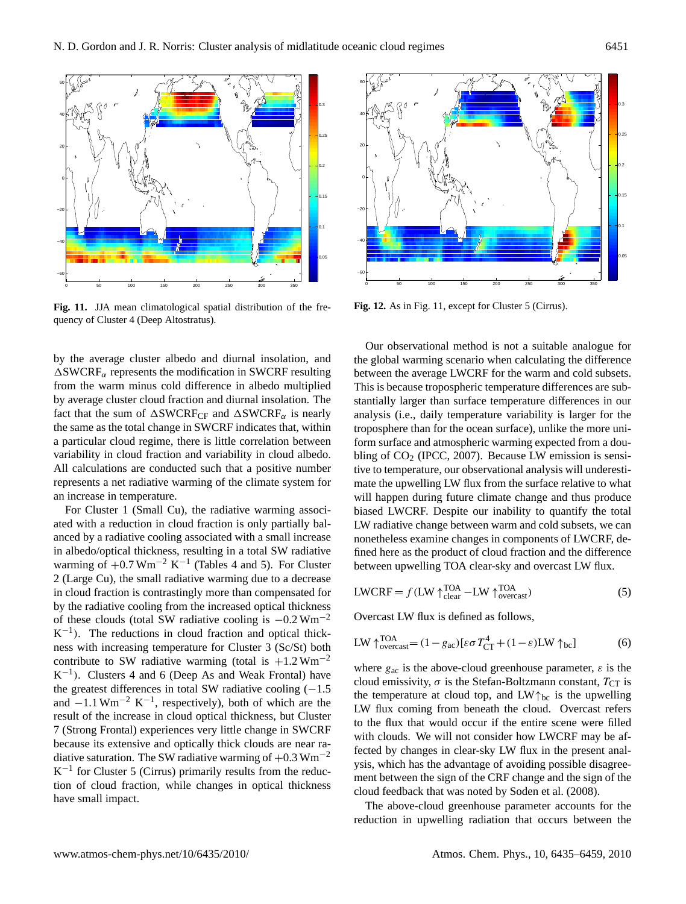

**Fig. 11.** JJA mean climatological spatial distribution of the frequency of Cluster 4 (Deep Altostratus).

by the average cluster albedo and diurnal insolation, and  $\triangle$ SWCRF<sub> $\alpha$ </sub> represents the modification in SWCRF resulting from the warm minus cold difference in albedo multiplied by average cluster cloud fraction and diurnal insolation. The fact that the sum of  $\triangle$ SWCRF<sub>CF</sub> and  $\triangle$ SWCRF<sub> $\alpha$ </sub> is nearly the same as the total change in SWCRF indicates that, within a particular cloud regime, there is little correlation between variability in cloud fraction and variability in cloud albedo. All calculations are conducted such that a positive number represents a net radiative warming of the climate system for an increase in temperature.

For Cluster 1 (Small Cu), the radiative warming associated with a reduction in cloud fraction is only partially balanced by a radiative cooling associated with a small increase in albedo/optical thickness, resulting in a total SW radiative warming of  $+0.7 \text{ Wm}^{-2} \text{ K}^{-1}$  (Tables 4 and 5). For Cluster 2 (Large Cu), the small radiative warming due to a decrease in cloud fraction is contrastingly more than compensated for by the radiative cooling from the increased optical thickness of these clouds (total SW radiative cooling is  $-0.2 \text{ Wm}^{-2}$  $K^{-1}$ ). The reductions in cloud fraction and optical thickness with increasing temperature for Cluster 3 (Sc/St) both contribute to SW radiative warming (total is  $+1.2 \text{ Wm}^{-2}$  $K^{-1}$ ). Clusters 4 and 6 (Deep As and Weak Frontal) have the greatest differences in total SW radiative cooling  $(-1.5)$ and  $-1.1 \text{ Wm}^{-2} \text{ K}^{-1}$ , respectively), both of which are the result of the increase in cloud optical thickness, but Cluster 7 (Strong Frontal) experiences very little change in SWCRF because its extensive and optically thick clouds are near radiative saturation. The SW radiative warming of  $+0.3 \text{ Wm}^{-2}$  $K^{-1}$  for Cluster 5 (Cirrus) primarily results from the reduction of cloud fraction, while changes in optical thickness have small impact.



**Fig. 12.** As in Fig. 11, except for Cluster 5 (Cirrus).

Our observational method is not a suitable analogue for the global warming scenario when calculating the difference between the average LWCRF for the warm and cold subsets. This is because tropospheric temperature differences are substantially larger than surface temperature differences in our analysis (i.e., daily temperature variability is larger for the troposphere than for the ocean surface), unlike the more uniform surface and atmospheric warming expected from a doubling of  $CO<sub>2</sub>$  (IPCC, 2007). Because LW emission is sensitive to temperature, our observational analysis will underestimate the upwelling LW flux from the surface relative to what will happen during future climate change and thus produce biased LWCRF. Despite our inability to quantify the total LW radiative change between warm and cold subsets, we can nonetheless examine changes in components of LWCRF, defined here as the product of cloud fraction and the difference between upwelling TOA clear-sky and overcast LW flux.

$$
LWCRF = f(LW \uparrow_{clear}^{TOA} - LW \uparrow_{overast}^{TOA})
$$
 (5)

Overcast LW flux is defined as follows,

$$
LW \uparrow_{\text{overcast}}^{\text{TOA}} = (1 - g_{\text{ac}})[\varepsilon \sigma T_{\text{CT}}^4 + (1 - \varepsilon)LW \uparrow_{\text{bc}}] \tag{6}
$$

where  $g_{ac}$  is the above-cloud greenhouse parameter,  $\varepsilon$  is the cloud emissivity,  $\sigma$  is the Stefan-Boltzmann constant,  $T_{CT}$  is the temperature at cloud top, and LW $\uparrow$ <sub>bc</sub> is the upwelling LW flux coming from beneath the cloud. Overcast refers to the flux that would occur if the entire scene were filled with clouds. We will not consider how LWCRF may be affected by changes in clear-sky LW flux in the present analysis, which has the advantage of avoiding possible disagreement between the sign of the CRF change and the sign of the cloud feedback that was noted by Soden et al. (2008).

The above-cloud greenhouse parameter accounts for the reduction in upwelling radiation that occurs between the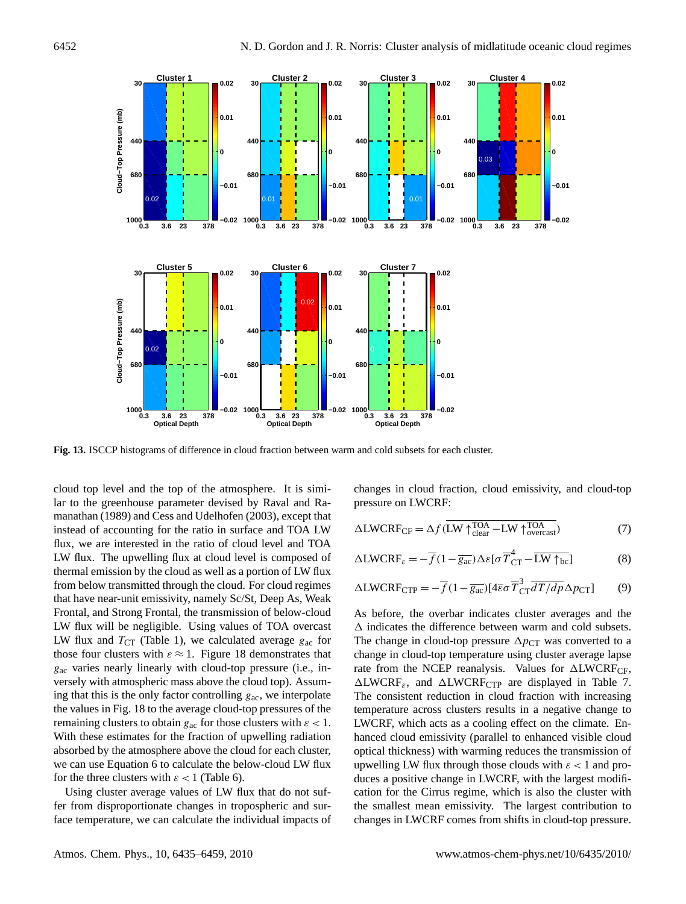

**Fig. 13.** ISCCP histograms of difference in cloud fraction between warm and cold subsets for each cluster.

cloud top level and the top of the atmosphere. It is similar to the greenhouse parameter devised by Raval and Ramanathan (1989) and Cess and Udelhofen (2003), except that instead of accounting for the ratio in surface and TOA LW flux, we are interested in the ratio of cloud level and TOA LW flux. The upwelling flux at cloud level is composed of thermal emission by the cloud as well as a portion of LW flux from below transmitted through the cloud. For cloud regimes that have near-unit emissivity, namely Sc/St, Deep As, Weak Frontal, and Strong Frontal, the transmission of below-cloud LW flux will be negligible. Using values of TOA overcast LW flux and  $T_{CT}$  (Table 1), we calculated average  $g_{ac}$  for those four clusters with  $\varepsilon \approx 1$ . Figure 18 demonstrates that gac varies nearly linearly with cloud-top pressure (i.e., inversely with atmospheric mass above the cloud top). Assuming that this is the only factor controlling  $g_{ac}$ , we interpolate the values in Fig. 18 to the average cloud-top pressures of the remaining clusters to obtain  $g_{ac}$  for those clusters with  $\varepsilon < 1$ . With these estimates for the fraction of upwelling radiation absorbed by the atmosphere above the cloud for each cluster, we can use Equation 6 to calculate the below-cloud LW flux for the three clusters with  $\varepsilon$  < 1 (Table 6).

Using cluster average values of LW flux that do not suffer from disproportionate changes in tropospheric and surface temperature, we can calculate the individual impacts of changes in cloud fraction, cloud emissivity, and cloud-top pressure on LWCRF:

$$
\Delta LWCRF_{CF} = \Delta f \left( \overline{LW} \uparrow_{\text{clear}}^{\text{TOA}} - \overline{LW} \uparrow_{\text{overcast}}^{\text{TOA}} \right) \tag{7}
$$

$$
\Delta L WCRF_{\varepsilon} = -\overline{f}(1 - \overline{g_{ac}}) \Delta \varepsilon [\sigma \overline{T}_{CT}^4 - \overline{LW} \uparrow_{bc}]
$$
 (8)

$$
\Delta LWCRF_{CTP} = -\overline{f}(1 - \overline{g_{ac}})[4\overline{\varepsilon}\sigma \overline{T}_{CT}^3 d\overline{T/dp} \Delta p_{CT}] \qquad (9)
$$

As before, the overbar indicates cluster averages and the  $\Delta$  indicates the difference between warm and cold subsets. The change in cloud-top pressure  $\Delta p_{CT}$  was converted to a change in cloud-top temperature using cluster average lapse rate from the NCEP reanalysis. Values for  $\triangle LWCRF_{CF}$ ,  $\triangle LWCRF_{\epsilon}$ , and  $\triangle LWCRF_{CTP}$  are displayed in Table 7. The consistent reduction in cloud fraction with increasing temperature across clusters results in a negative change to LWCRF, which acts as a cooling effect on the climate. Enhanced cloud emissivity (parallel to enhanced visible cloud optical thickness) with warming reduces the transmission of upwelling LW flux through those clouds with  $\varepsilon$  < 1 and produces a positive change in LWCRF, with the largest modification for the Cirrus regime, which is also the cluster with the smallest mean emissivity. The largest contribution to changes in LWCRF comes from shifts in cloud-top pressure.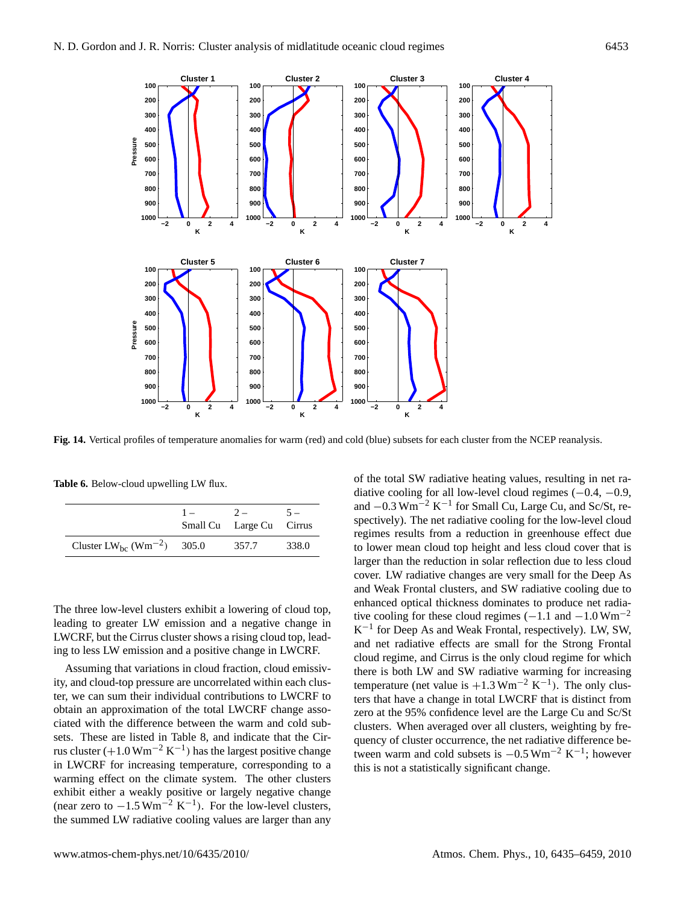

**Fig. 14.** Vertical profiles of temperature anomalies for warm (red) and cold (blue) subsets for each cluster from the NCEP reanalysis.

**Table 6.** Below-cloud upwelling LW flux.

|                                                    | $2 -$<br>Small Cu Large Cu Cirrus | $5 -$ |
|----------------------------------------------------|-----------------------------------|-------|
| Cluster LW <sub>bc</sub> (Wm <sup>-2</sup> ) 305.0 | 357.7                             | 338.0 |

The three low-level clusters exhibit a lowering of cloud top, leading to greater LW emission and a negative change in LWCRF, but the Cirrus cluster shows a rising cloud top, leading to less LW emission and a positive change in LWCRF.

Assuming that variations in cloud fraction, cloud emissivity, and cloud-top pressure are uncorrelated within each cluster, we can sum their individual contributions to LWCRF to obtain an approximation of the total LWCRF change associated with the difference between the warm and cold subsets. These are listed in Table 8, and indicate that the Cirrus cluster (+1.0  $Wm^{-2} K^{-1}$ ) has the largest positive change in LWCRF for increasing temperature, corresponding to a warming effect on the climate system. The other clusters exhibit either a weakly positive or largely negative change (near zero to  $-1.5 \text{ Wm}^{-2} \text{ K}^{-1}$ ). For the low-level clusters, the summed LW radiative cooling values are larger than any

of the total SW radiative heating values, resulting in net radiative cooling for all low-level cloud regimes  $(-0.4, -0.9,$ and  $-0.3$  Wm<sup>-2</sup> K<sup>-1</sup> for Small Cu, Large Cu, and Sc/St, respectively). The net radiative cooling for the low-level cloud regimes results from a reduction in greenhouse effect due to lower mean cloud top height and less cloud cover that is larger than the reduction in solar reflection due to less cloud cover. LW radiative changes are very small for the Deep As and Weak Frontal clusters, and SW radiative cooling due to enhanced optical thickness dominates to produce net radiative cooling for these cloud regimes  $(-1.1 \text{ and } -1.0 \text{ Wm}^{-2})$ K<sup>-1</sup> for Deep As and Weak Frontal, respectively). LW, SW, and net radiative effects are small for the Strong Frontal cloud regime, and Cirrus is the only cloud regime for which there is both LW and SW radiative warming for increasing temperature (net value is  $+1.3 \text{ Wm}^{-2} \text{ K}^{-1}$ ). The only clusters that have a change in total LWCRF that is distinct from zero at the 95% confidence level are the Large Cu and Sc/St clusters. When averaged over all clusters, weighting by frequency of cluster occurrence, the net radiative difference between warm and cold subsets is  $-0.5 \text{ Wm}^{-2} \text{ K}^{-1}$ ; however this is not a statistically significant change.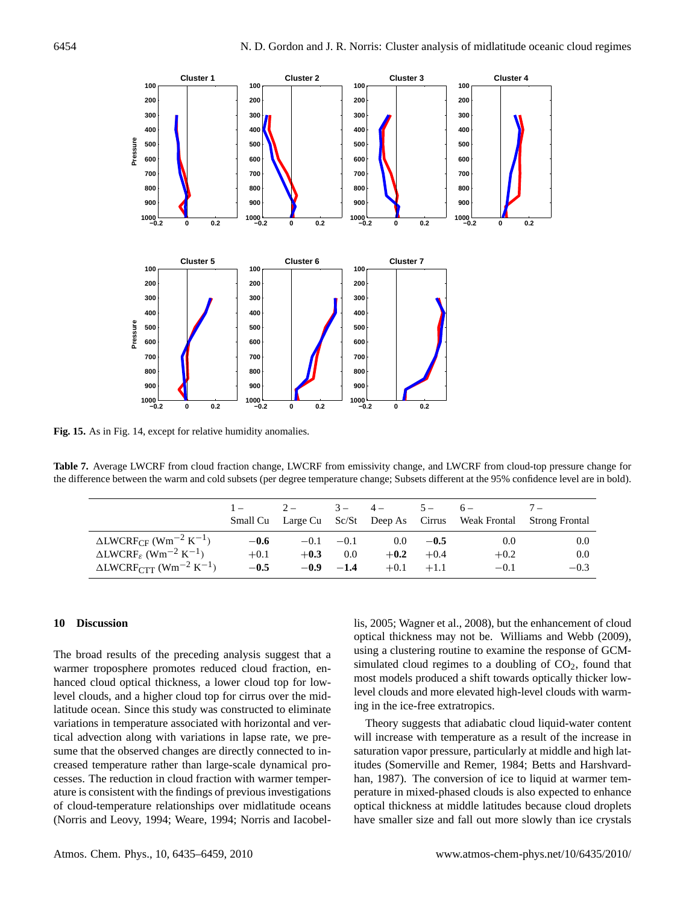

**Fig. 15.** As in Fig. 14, except for relative humidity anomalies.

**Table 7.** Average LWCRF from cloud fraction change, LWCRF from emissivity change, and LWCRF from cloud-top pressure change for the difference between the warm and cold subsets (per degree temperature change; Subsets different at the 95% confidence level are in bold).

|                                                                                           |        |        | $3-$        | $4-$   |        | $6 -$<br>Small Cu Large Cu Sc/St Deep As Cirrus Weak Frontal Strong Frontal |        |
|-------------------------------------------------------------------------------------------|--------|--------|-------------|--------|--------|-----------------------------------------------------------------------------|--------|
| $\triangle LWCRF_{CF}$ (Wm <sup>-2</sup> K <sup>-1</sup> )                                | $-0.6$ |        | $-0.1 -0.1$ | 0.0    | $-0.5$ | 0.0                                                                         | 0.0    |
| $\triangle$ LWCRF <sub><math>\varepsilon</math></sub> (Wm <sup>-2</sup> K <sup>-1</sup> ) | $+0.1$ | $+0.3$ | 0.0         | $+0.2$ | $+0.4$ | $+0.2$                                                                      | 0.0    |
| $\triangle LWCRF_{CTT}$ (Wm <sup>-2</sup> K <sup>-1</sup> )                               | $-0.5$ |        | $-0.9 -1.4$ | $+0.1$ | $+1.1$ | $-0.1$                                                                      | $-0.3$ |

#### **10 Discussion**

The broad results of the preceding analysis suggest that a warmer troposphere promotes reduced cloud fraction, enhanced cloud optical thickness, a lower cloud top for lowlevel clouds, and a higher cloud top for cirrus over the midlatitude ocean. Since this study was constructed to eliminate variations in temperature associated with horizontal and vertical advection along with variations in lapse rate, we presume that the observed changes are directly connected to increased temperature rather than large-scale dynamical processes. The reduction in cloud fraction with warmer temperature is consistent with the findings of previous investigations of cloud-temperature relationships over midlatitude oceans (Norris and Leovy, 1994; Weare, 1994; Norris and Iacobellis, 2005; Wagner et al., 2008), but the enhancement of cloud optical thickness may not be. Williams and Webb (2009), using a clustering routine to examine the response of GCMsimulated cloud regimes to a doubling of  $CO<sub>2</sub>$ , found that most models produced a shift towards optically thicker lowlevel clouds and more elevated high-level clouds with warming in the ice-free extratropics.

Theory suggests that adiabatic cloud liquid-water content will increase with temperature as a result of the increase in saturation vapor pressure, particularly at middle and high latitudes (Somerville and Remer, 1984; Betts and Harshvardhan, 1987). The conversion of ice to liquid at warmer temperature in mixed-phased clouds is also expected to enhance optical thickness at middle latitudes because cloud droplets have smaller size and fall out more slowly than ice crystals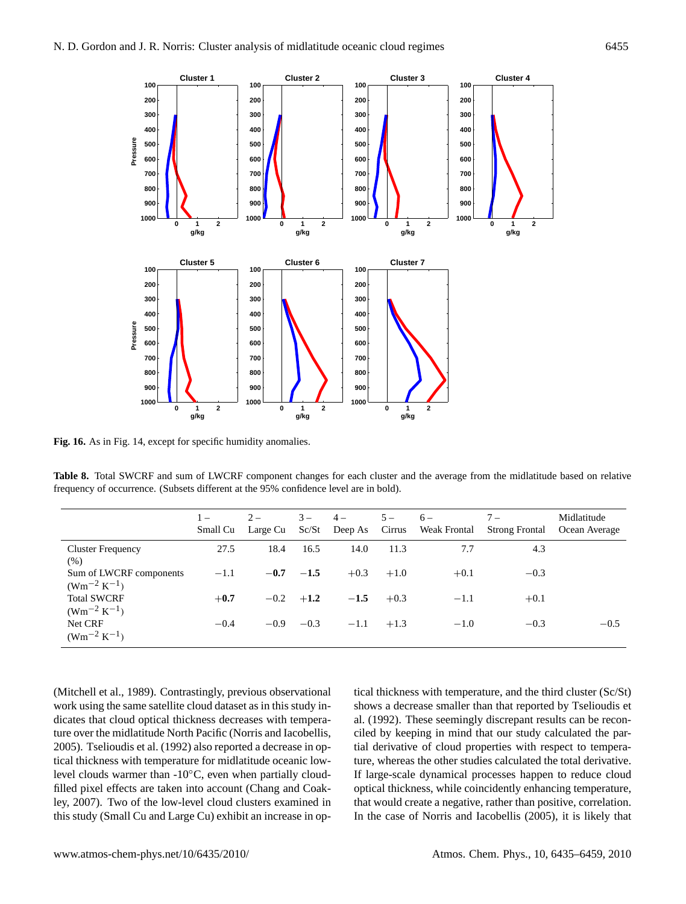

**Fig. 16.** As in Fig. 14, except for specific humidity anomalies.

**Table 8.** Total SWCRF and sum of LWCRF component changes for each cluster and the average from the midlatitude based on relative frequency of occurrence. (Subsets different at the 95% confidence level are in bold).

|                                               | $1 -$<br>Small Cu | $2 -$<br>Large Cu | $3 -$       | $4-$<br>$Sc/St$ Deep As | $5 -$<br>Cirrus | $6 -$<br><b>Weak Frontal</b> | $7 -$<br><b>Strong Frontal</b> | Midlatitude<br>Ocean Average |
|-----------------------------------------------|-------------------|-------------------|-------------|-------------------------|-----------------|------------------------------|--------------------------------|------------------------------|
| <b>Cluster Frequency</b><br>(% )              | 27.5              | 18.4              | 16.5        | 14.0                    | 11.3            | 7.7                          | 4.3                            |                              |
| Sum of LWCRF components<br>$(Wm^{-2} K^{-1})$ | $-1.1$            |                   | $-0.7 -1.5$ | $+0.3$                  | $+1.0$          | $+0.1$                       | $-0.3$                         |                              |
| <b>Total SWCRF</b><br>$(Wm^{-2} K^{-1})$      | $+0.7$            | $-0.2$            | $+1.2$      | $-1.5$                  | $+0.3$          | $-1.1$                       | $+0.1$                         |                              |
| Net CRF<br>$(Wm^{-2} K^{-1})$                 | $-0.4$            | $-0.9$            | $-0.3$      | $-1.1$                  | $+1.3$          | $-1.0$                       | $-0.3$                         | $-0.5$                       |

(Mitchell et al., 1989). Contrastingly, previous observational work using the same satellite cloud dataset as in this study indicates that cloud optical thickness decreases with temperature over the midlatitude North Pacific (Norris and Iacobellis, 2005). Tselioudis et al. (1992) also reported a decrease in optical thickness with temperature for midlatitude oceanic lowlevel clouds warmer than -10◦C, even when partially cloudfilled pixel effects are taken into account (Chang and Coakley, 2007). Two of the low-level cloud clusters examined in this study (Small Cu and Large Cu) exhibit an increase in optical thickness with temperature, and the third cluster (Sc/St) shows a decrease smaller than that reported by Tselioudis et al. (1992). These seemingly discrepant results can be reconciled by keeping in mind that our study calculated the partial derivative of cloud properties with respect to temperature, whereas the other studies calculated the total derivative. If large-scale dynamical processes happen to reduce cloud optical thickness, while coincidently enhancing temperature, that would create a negative, rather than positive, correlation. In the case of Norris and Iacobellis (2005), it is likely that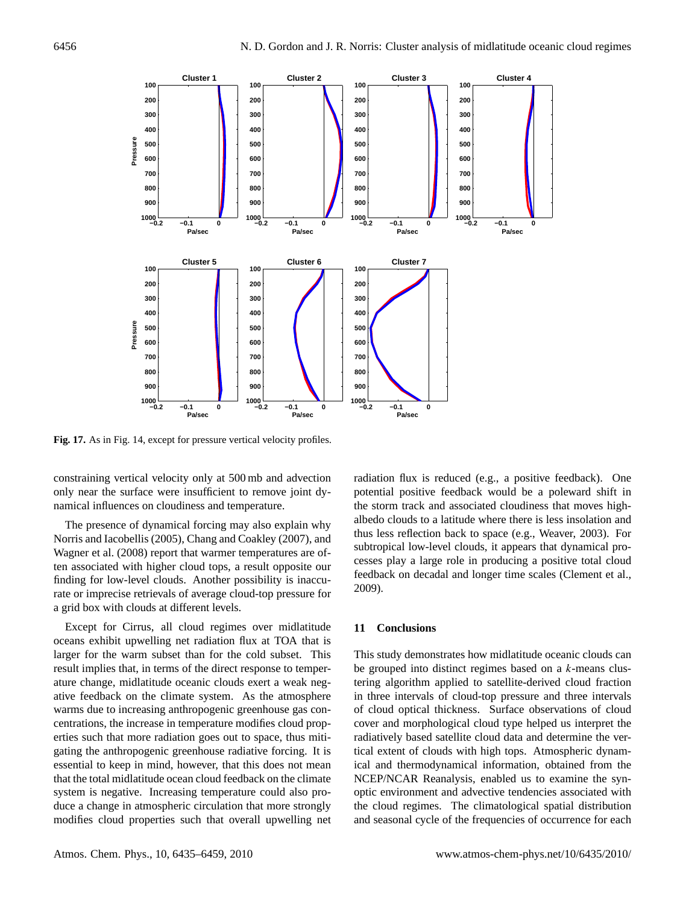

**Fig. 17.** As in Fig. 14, except for pressure vertical velocity profiles.

constraining vertical velocity only at 500 mb and advection only near the surface were insufficient to remove joint dynamical influences on cloudiness and temperature.

The presence of dynamical forcing may also explain why Norris and Iacobellis (2005), Chang and Coakley (2007), and Wagner et al. (2008) report that warmer temperatures are often associated with higher cloud tops, a result opposite our finding for low-level clouds. Another possibility is inaccurate or imprecise retrievals of average cloud-top pressure for a grid box with clouds at different levels.

Except for Cirrus, all cloud regimes over midlatitude oceans exhibit upwelling net radiation flux at TOA that is larger for the warm subset than for the cold subset. This result implies that, in terms of the direct response to temperature change, midlatitude oceanic clouds exert a weak negative feedback on the climate system. As the atmosphere warms due to increasing anthropogenic greenhouse gas concentrations, the increase in temperature modifies cloud properties such that more radiation goes out to space, thus mitigating the anthropogenic greenhouse radiative forcing. It is essential to keep in mind, however, that this does not mean that the total midlatitude ocean cloud feedback on the climate system is negative. Increasing temperature could also produce a change in atmospheric circulation that more strongly modifies cloud properties such that overall upwelling net radiation flux is reduced (e.g., a positive feedback). One potential positive feedback would be a poleward shift in the storm track and associated cloudiness that moves highalbedo clouds to a latitude where there is less insolation and thus less reflection back to space (e.g., Weaver, 2003). For subtropical low-level clouds, it appears that dynamical processes play a large role in producing a positive total cloud feedback on decadal and longer time scales (Clement et al., 2009).

# **11 Conclusions**

This study demonstrates how midlatitude oceanic clouds can be grouped into distinct regimes based on a k-means clustering algorithm applied to satellite-derived cloud fraction in three intervals of cloud-top pressure and three intervals of cloud optical thickness. Surface observations of cloud cover and morphological cloud type helped us interpret the radiatively based satellite cloud data and determine the vertical extent of clouds with high tops. Atmospheric dynamical and thermodynamical information, obtained from the NCEP/NCAR Reanalysis, enabled us to examine the synoptic environment and advective tendencies associated with the cloud regimes. The climatological spatial distribution and seasonal cycle of the frequencies of occurrence for each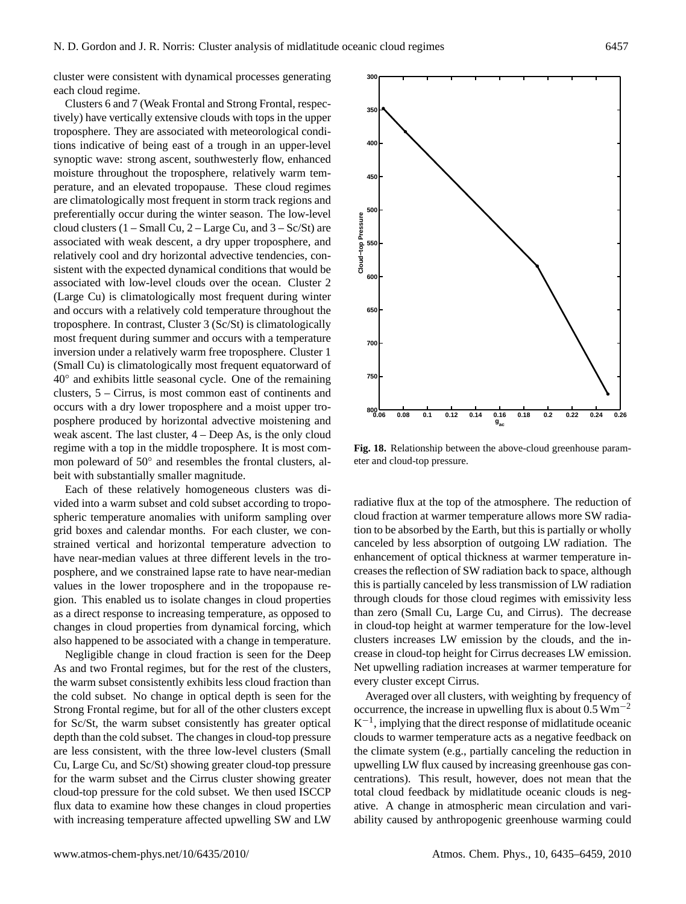cluster were consistent with dynamical processes generating each cloud regime.

Clusters 6 and 7 (Weak Frontal and Strong Frontal, respectively) have vertically extensive clouds with tops in the upper troposphere. They are associated with meteorological conditions indicative of being east of a trough in an upper-level synoptic wave: strong ascent, southwesterly flow, enhanced moisture throughout the troposphere, relatively warm temperature, and an elevated tropopause. These cloud regimes are climatologically most frequent in storm track regions and preferentially occur during the winter season. The low-level cloud clusters  $(1 - Small Cu, 2 - Large Cu, and 3 - Sc/St)$  are associated with weak descent, a dry upper troposphere, and relatively cool and dry horizontal advective tendencies, consistent with the expected dynamical conditions that would be associated with low-level clouds over the ocean. Cluster 2 (Large Cu) is climatologically most frequent during winter and occurs with a relatively cold temperature throughout the troposphere. In contrast, Cluster 3 (Sc/St) is climatologically most frequent during summer and occurs with a temperature inversion under a relatively warm free troposphere. Cluster 1 (Small Cu) is climatologically most frequent equatorward of 40◦ and exhibits little seasonal cycle. One of the remaining clusters, 5 – Cirrus, is most common east of continents and occurs with a dry lower troposphere and a moist upper troposphere produced by horizontal advective moistening and weak ascent. The last cluster, 4 – Deep As, is the only cloud regime with a top in the middle troposphere. It is most common poleward of 50° and resembles the frontal clusters, albeit with substantially smaller magnitude.

Each of these relatively homogeneous clusters was divided into a warm subset and cold subset according to tropospheric temperature anomalies with uniform sampling over grid boxes and calendar months. For each cluster, we constrained vertical and horizontal temperature advection to have near-median values at three different levels in the troposphere, and we constrained lapse rate to have near-median values in the lower troposphere and in the tropopause region. This enabled us to isolate changes in cloud properties as a direct response to increasing temperature, as opposed to changes in cloud properties from dynamical forcing, which also happened to be associated with a change in temperature.

Negligible change in cloud fraction is seen for the Deep As and two Frontal regimes, but for the rest of the clusters, the warm subset consistently exhibits less cloud fraction than the cold subset. No change in optical depth is seen for the Strong Frontal regime, but for all of the other clusters except for Sc/St, the warm subset consistently has greater optical depth than the cold subset. The changes in cloud-top pressure are less consistent, with the three low-level clusters (Small Cu, Large Cu, and Sc/St) showing greater cloud-top pressure for the warm subset and the Cirrus cluster showing greater cloud-top pressure for the cold subset. We then used ISCCP flux data to examine how these changes in cloud properties with increasing temperature affected upwelling SW and LW



**Fig. 18.** Relationship between the above-cloud greenhouse parameter and cloud-top pressure.

radiative flux at the top of the atmosphere. The reduction of cloud fraction at warmer temperature allows more SW radiation to be absorbed by the Earth, but this is partially or wholly canceled by less absorption of outgoing LW radiation. The enhancement of optical thickness at warmer temperature increases the reflection of SW radiation back to space, although this is partially canceled by less transmission of LW radiation through clouds for those cloud regimes with emissivity less than zero (Small Cu, Large Cu, and Cirrus). The decrease in cloud-top height at warmer temperature for the low-level clusters increases LW emission by the clouds, and the increase in cloud-top height for Cirrus decreases LW emission. Net upwelling radiation increases at warmer temperature for every cluster except Cirrus.

Averaged over all clusters, with weighting by frequency of occurrence, the increase in upwelling flux is about  $0.5 \text{ Wm}^{-2}$ K<sup>-1</sup>, implying that the direct response of midlatitude oceanic clouds to warmer temperature acts as a negative feedback on the climate system (e.g., partially canceling the reduction in upwelling LW flux caused by increasing greenhouse gas concentrations). This result, however, does not mean that the total cloud feedback by midlatitude oceanic clouds is negative. A change in atmospheric mean circulation and variability caused by anthropogenic greenhouse warming could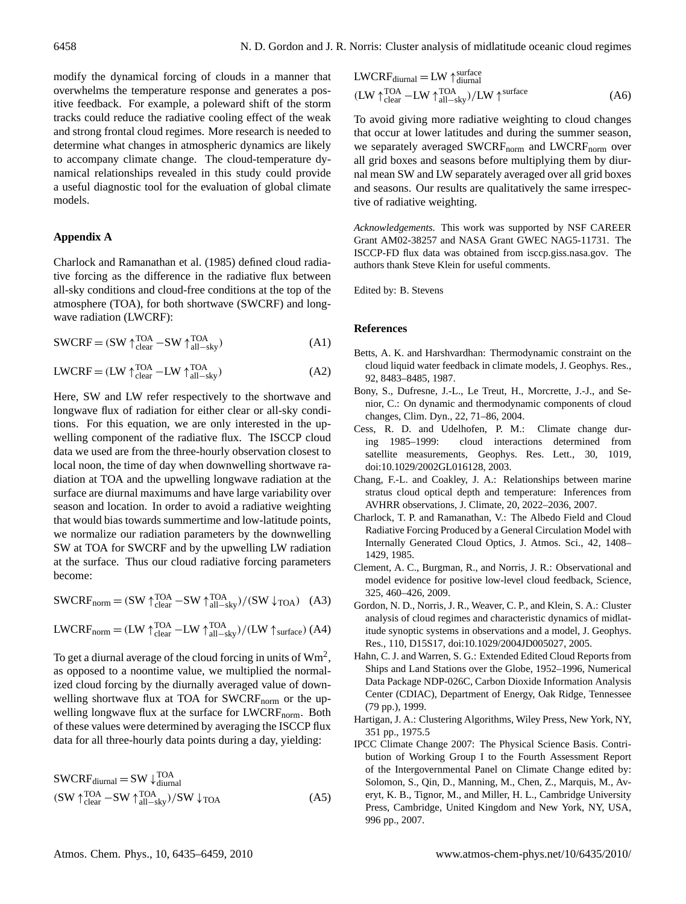modify the dynamical forcing of clouds in a manner that overwhelms the temperature response and generates a positive feedback. For example, a poleward shift of the storm tracks could reduce the radiative cooling effect of the weak and strong frontal cloud regimes. More research is needed to determine what changes in atmospheric dynamics are likely to accompany climate change. The cloud-temperature dynamical relationships revealed in this study could provide a useful diagnostic tool for the evaluation of global climate models.

### **Appendix A**

Charlock and Ramanathan et al. (1985) defined cloud radiative forcing as the difference in the radiative flux between all-sky conditions and cloud-free conditions at the top of the atmosphere (TOA), for both shortwave (SWCRF) and longwave radiation (LWCRF):

$$
SWCRF = (SW \uparrow_{clear}^{TOA} - SW \uparrow_{all-sky}^{TOA})
$$
 (A1)

$$
LWCRF = (LW \uparrow_{\text{clear}}^{\text{TOA}} - LW \uparrow_{\text{all-sky}}^{\text{TOA}})
$$
 (A2)

Here, SW and LW refer respectively to the shortwave and longwave flux of radiation for either clear or all-sky conditions. For this equation, we are only interested in the upwelling component of the radiative flux. The ISCCP cloud data we used are from the three-hourly observation closest to local noon, the time of day when downwelling shortwave radiation at TOA and the upwelling longwave radiation at the surface are diurnal maximums and have large variability over season and location. In order to avoid a radiative weighting that would bias towards summertime and low-latitude points, we normalize our radiation parameters by the downwelling SW at TOA for SWCRF and by the upwelling LW radiation at the surface. Thus our cloud radiative forcing parameters become:

$$
SWCRF_{norm} = (SW \uparrow_{clear}^{TOA} - SW \uparrow_{all-sky}^{TOA})/(SW \downarrow_{TOA})
$$
 (A3)

$$
LWCRF_{norm} = (LW \uparrow_{clear}^{TOA} - LW \uparrow_{all-sky}^{TOA})/(LW \uparrow_{surface}) (A4)
$$

To get a diurnal average of the cloud forcing in units of  $Wm^2$ , as opposed to a noontime value, we multiplied the normalized cloud forcing by the diurnally averaged value of downwelling shortwave flux at TOA for SWCRF<sub>norm</sub> or the upwelling longwave flux at the surface for LWCRF<sub>norm</sub>. Both of these values were determined by averaging the ISCCP flux data for all three-hourly data points during a day, yielding:

$$
SWCRF_{\text{diurnal}} = SW \downarrow_{\text{diurnal}}^{TOA}
$$
  

$$
(SW \uparrow_{\text{clear}}^{TOA} - SW \uparrow_{\text{all-sky}}^{TOA}) / SW \downarrow_{TOA}
$$
 (A5)

$$
LWCRF_{\text{diurnal}} = LW \uparrow_{\text{diurnal}}^{\text{surface}}
$$
  
\n
$$
(LW \uparrow_{\text{clear}}^{\text{TOA}} - LW \uparrow_{\text{all-sky}}^{\text{TOA}}) / LW \uparrow_{\text{surface}}^{\text{surface}}
$$
 (A6)

To avoid giving more radiative weighting to cloud changes that occur at lower latitudes and during the summer season, we separately averaged  $\text{SWCRF}_{\text{norm}}$  and  $\text{LWCRF}_{\text{norm}}$  over all grid boxes and seasons before multiplying them by diurnal mean SW and LW separately averaged over all grid boxes and seasons. Our results are qualitatively the same irrespective of radiative weighting.

*Acknowledgements.* This work was supported by NSF CAREER Grant AM02-38257 and NASA Grant GWEC NAG5-11731. The ISCCP-FD flux data was obtained from [isccp.giss.nasa.gov.](isccp.giss.nasa.gov) The authors thank Steve Klein for useful comments.

Edited by: B. Stevens

#### **References**

- Betts, A. K. and Harshvardhan: Thermodynamic constraint on the cloud liquid water feedback in climate models, J. Geophys. Res., 92, 8483–8485, 1987.
- Bony, S., Dufresne, J.-L., Le Treut, H., Morcrette, J.-J., and Senior, C.: On dynamic and thermodynamic components of cloud changes, Clim. Dyn., 22, 71–86, 2004.
- Cess, R. D. and Udelhofen, P. M.: Climate change during 1985–1999: cloud interactions determined from satellite measurements, Geophys. Res. Lett., 30, 1019, doi:10.1029/2002GL016128, 2003.
- Chang, F.-L. and Coakley, J. A.: Relationships between marine stratus cloud optical depth and temperature: Inferences from AVHRR observations, J. Climate, 20, 2022–2036, 2007.
- Charlock, T. P. and Ramanathan, V.: The Albedo Field and Cloud Radiative Forcing Produced by a General Circulation Model with Internally Generated Cloud Optics, J. Atmos. Sci., 42, 1408– 1429, 1985.
- Clement, A. C., Burgman, R., and Norris, J. R.: Observational and model evidence for positive low-level cloud feedback, Science, 325, 460–426, 2009.
- Gordon, N. D., Norris, J. R., Weaver, C. P., and Klein, S. A.: Cluster analysis of cloud regimes and characteristic dynamics of midlatitude synoptic systems in observations and a model, J. Geophys. Res., 110, D15S17, doi:10.1029/2004JD005027, 2005.
- Hahn, C. J. and Warren, S. G.: Extended Edited Cloud Reports from Ships and Land Stations over the Globe, 1952–1996, Numerical Data Package NDP-026C, Carbon Dioxide Information Analysis Center (CDIAC), Department of Energy, Oak Ridge, Tennessee (79 pp.), 1999.
- Hartigan, J. A.: Clustering Algorithms, Wiley Press, New York, NY, 351 pp., 1975.5
- IPCC Climate Change 2007: The Physical Science Basis. Contribution of Working Group I to the Fourth Assessment Report of the Intergovernmental Panel on Climate Change edited by: Solomon, S., Qin, D., Manning, M., Chen, Z., Marquis, M., Averyt, K. B., Tignor, M., and Miller, H. L., Cambridge University Press, Cambridge, United Kingdom and New York, NY, USA, 996 pp., 2007.